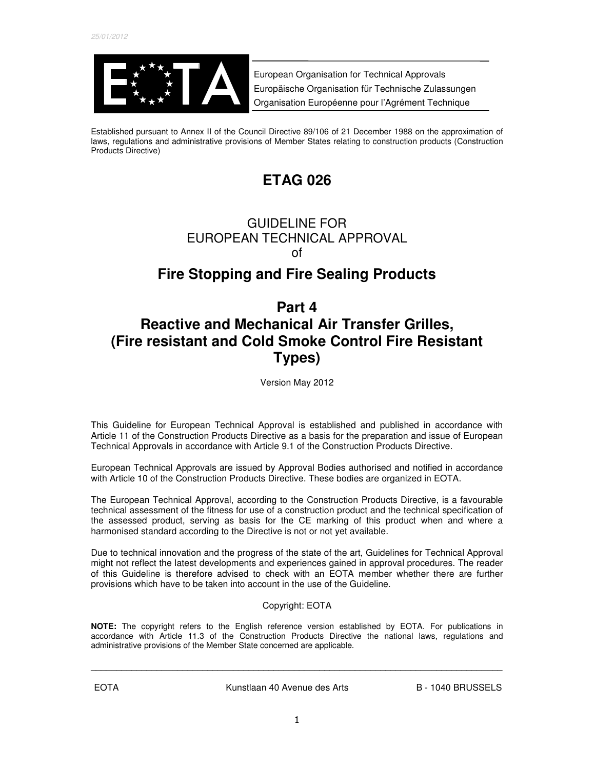

European Organisation for Technical Approvals Europäische Organisation für Technische Zulassungen Organisation Européenne pour l'Agrément Technique

Established pursuant to Annex II of the Council Directive 89/106 of 21 December 1988 on the approximation of laws, regulations and administrative provisions of Member States relating to construction products (Construction Products Directive)

# **ETAG 026**

# GUIDELINE FOR EUROPEAN TECHNICAL APPROVAL of

# **Fire Stopping and Fire Sealing Products**

# **Part 4 Reactive and Mechanical Air Transfer Grilles, (Fire resistant and Cold Smoke Control Fire Resistant Types)**

Version May 2012

This Guideline for European Technical Approval is established and published in accordance with Article 11 of the Construction Products Directive as a basis for the preparation and issue of European Technical Approvals in accordance with Article 9.1 of the Construction Products Directive.

European Technical Approvals are issued by Approval Bodies authorised and notified in accordance with Article 10 of the Construction Products Directive. These bodies are organized in EOTA.

The European Technical Approval, according to the Construction Products Directive, is a favourable technical assessment of the fitness for use of a construction product and the technical specification of the assessed product, serving as basis for the CE marking of this product when and where a harmonised standard according to the Directive is not or not yet available.

Due to technical innovation and the progress of the state of the art, Guidelines for Technical Approval might not reflect the latest developments and experiences gained in approval procedures. The reader of this Guideline is therefore advised to check with an EOTA member whether there are further provisions which have to be taken into account in the use of the Guideline.

# Copyright: EOTA

**NOTE:** The copyright refers to the English reference version established by EOTA. For publications in accordance with Article 11.3 of the Construction Products Directive the national laws, regulations and administrative provisions of the Member State concerned are applicable.

\_\_\_\_\_\_\_\_\_\_\_\_\_\_\_\_\_\_\_\_\_\_\_\_\_\_\_\_\_\_\_\_\_\_\_\_\_\_\_\_\_\_\_\_\_\_\_\_\_\_\_\_\_\_\_\_\_\_\_\_\_\_\_\_\_\_\_\_\_\_\_\_\_\_\_\_\_\_\_\_\_

EOTA 
B - 1040 BRUSSELS

B - 1040 BRUSSELS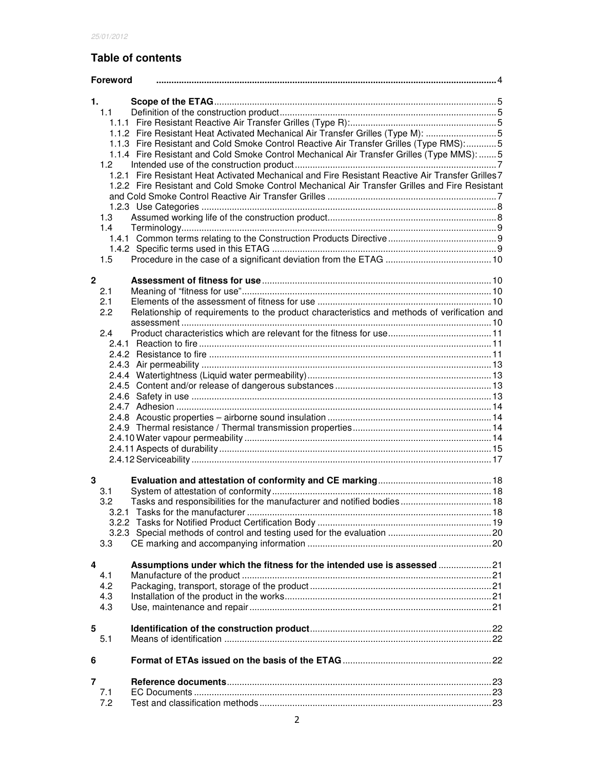# **Table of contents**

| <b>Foreword</b>  |                                                                                                   |  |  |  |  |
|------------------|---------------------------------------------------------------------------------------------------|--|--|--|--|
| 1.               |                                                                                                   |  |  |  |  |
| 1.1              |                                                                                                   |  |  |  |  |
|                  |                                                                                                   |  |  |  |  |
|                  | 1.1.2 Fire Resistant Heat Activated Mechanical Air Transfer Grilles (Type M): 5                   |  |  |  |  |
|                  | 1.1.3 Fire Resistant and Cold Smoke Control Reactive Air Transfer Grilles (Type RMS):5            |  |  |  |  |
|                  | 1.1.4 Fire Resistant and Cold Smoke Control Mechanical Air Transfer Grilles (Type MMS):  5        |  |  |  |  |
| 1.2 <sub>1</sub> |                                                                                                   |  |  |  |  |
|                  | 1.2.1 Fire Resistant Heat Activated Mechanical and Fire Resistant Reactive Air Transfer Grilles 7 |  |  |  |  |
|                  | 1.2.2 Fire Resistant and Cold Smoke Control Mechanical Air Transfer Grilles and Fire Resistant    |  |  |  |  |
|                  |                                                                                                   |  |  |  |  |
|                  |                                                                                                   |  |  |  |  |
| 1.3              |                                                                                                   |  |  |  |  |
| 1.4              |                                                                                                   |  |  |  |  |
|                  |                                                                                                   |  |  |  |  |
|                  |                                                                                                   |  |  |  |  |
| 1.5              |                                                                                                   |  |  |  |  |
|                  |                                                                                                   |  |  |  |  |
| $\mathbf{2}$     |                                                                                                   |  |  |  |  |
| 2.1              |                                                                                                   |  |  |  |  |
| 2.1              |                                                                                                   |  |  |  |  |
| 2.2              | Relationship of requirements to the product characteristics and methods of verification and       |  |  |  |  |
|                  |                                                                                                   |  |  |  |  |
| 2.4              |                                                                                                   |  |  |  |  |
|                  |                                                                                                   |  |  |  |  |
|                  |                                                                                                   |  |  |  |  |
|                  |                                                                                                   |  |  |  |  |
|                  |                                                                                                   |  |  |  |  |
|                  |                                                                                                   |  |  |  |  |
|                  |                                                                                                   |  |  |  |  |
|                  |                                                                                                   |  |  |  |  |
|                  |                                                                                                   |  |  |  |  |
|                  |                                                                                                   |  |  |  |  |
|                  |                                                                                                   |  |  |  |  |
|                  |                                                                                                   |  |  |  |  |
|                  |                                                                                                   |  |  |  |  |
| 3                |                                                                                                   |  |  |  |  |
| 3.1              |                                                                                                   |  |  |  |  |
| 3.2              | Tasks and responsibilities for the manufacturer and notified bodies 18                            |  |  |  |  |
|                  |                                                                                                   |  |  |  |  |
|                  |                                                                                                   |  |  |  |  |
|                  |                                                                                                   |  |  |  |  |
| 3.3              |                                                                                                   |  |  |  |  |
|                  |                                                                                                   |  |  |  |  |
| 4                | Assumptions under which the fitness for the intended use is assessed  21                          |  |  |  |  |
| 4.1              |                                                                                                   |  |  |  |  |
| 4.2              |                                                                                                   |  |  |  |  |
| 4.3              |                                                                                                   |  |  |  |  |
| 4.3              |                                                                                                   |  |  |  |  |
|                  |                                                                                                   |  |  |  |  |
| 5                |                                                                                                   |  |  |  |  |
| 5.1              |                                                                                                   |  |  |  |  |
|                  |                                                                                                   |  |  |  |  |
| 6                |                                                                                                   |  |  |  |  |
|                  |                                                                                                   |  |  |  |  |
| 7                |                                                                                                   |  |  |  |  |
| 7.1              |                                                                                                   |  |  |  |  |
| 7.2              |                                                                                                   |  |  |  |  |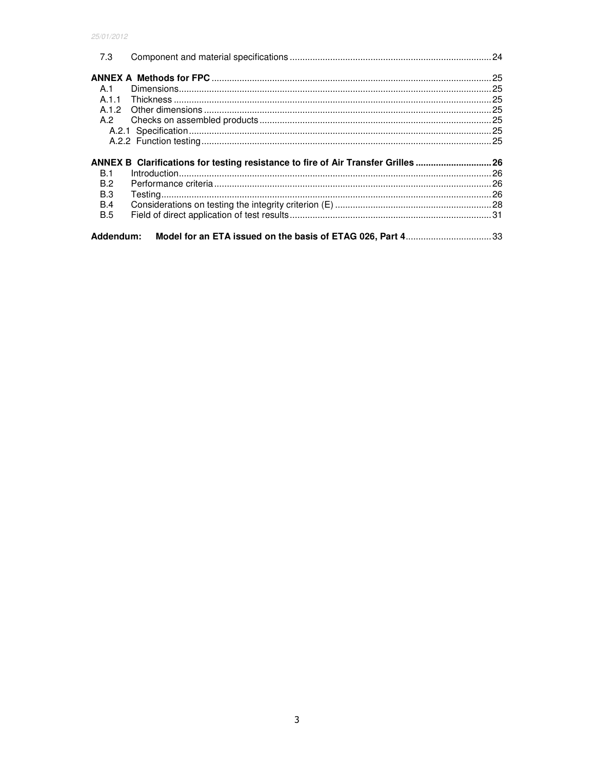| 7.3        |                                                                                  |  |
|------------|----------------------------------------------------------------------------------|--|
|            |                                                                                  |  |
| A.1        |                                                                                  |  |
|            |                                                                                  |  |
|            |                                                                                  |  |
| A.2        |                                                                                  |  |
|            |                                                                                  |  |
|            |                                                                                  |  |
|            |                                                                                  |  |
|            |                                                                                  |  |
| <b>B.1</b> | ANNEX B Clarifications for testing resistance to fire of Air Transfer Grilles 26 |  |
| B.2        |                                                                                  |  |
| B.3        |                                                                                  |  |
| B.4        |                                                                                  |  |
| <b>B.5</b> |                                                                                  |  |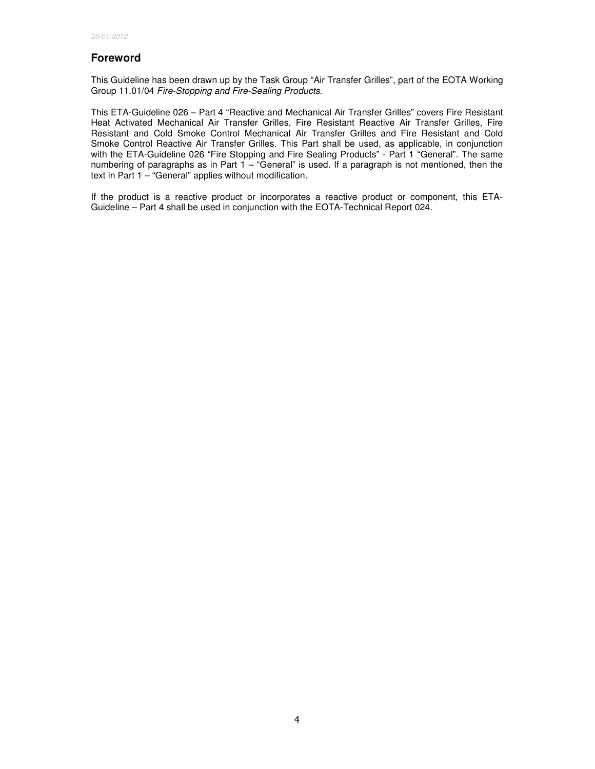# **Foreword**

This Guideline has been drawn up by the Task Group "Air Transfer Grilles", part of the EOTA Working Group 11.01/04 Fire-Stopping and Fire-Sealing Products.

This ETA-Guideline 026 – Part 4 "Reactive and Mechanical Air Transfer Grilles" covers Fire Resistant Heat Activated Mechanical Air Transfer Grilles, Fire Resistant Reactive Air Transfer Grilles, Fire Resistant and Cold Smoke Control Mechanical Air Transfer Grilles and Fire Resistant and Cold Smoke Control Reactive Air Transfer Grilles. This Part shall be used, as applicable, in conjunction with the ETA-Guideline 026 "Fire Stopping and Fire Sealing Products" - Part 1 "General". The same numbering of paragraphs as in Part  $1 -$  "General" is used. If a paragraph is not mentioned, then the text in Part 1 – "General" applies without modification.

If the product is a reactive product or incorporates a reactive product or component, this ETA-Guideline – Part 4 shall be used in conjunction with the EOTA-Technical Report 024.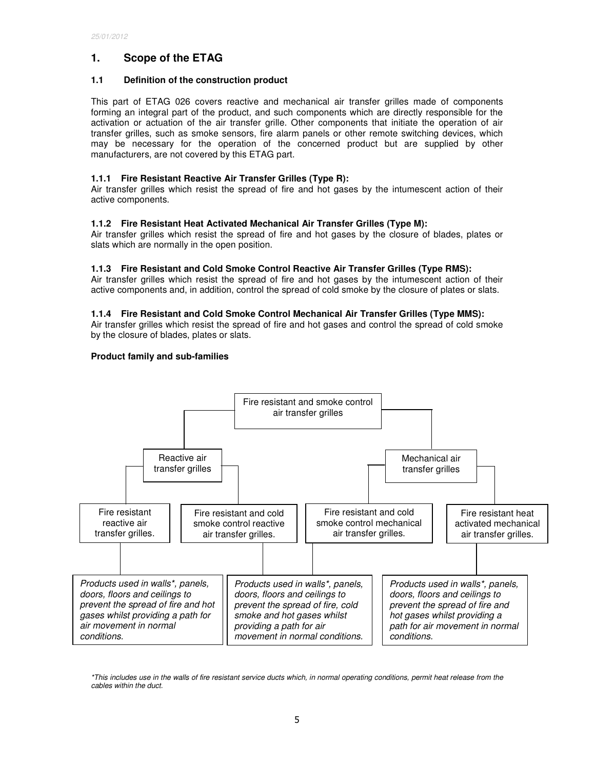# **1. Scope of the ETAG**

# **1.1 Definition of the construction product**

This part of ETAG 026 covers reactive and mechanical air transfer grilles made of components forming an integral part of the product, and such components which are directly responsible for the activation or actuation of the air transfer grille. Other components that initiate the operation of air transfer grilles, such as smoke sensors, fire alarm panels or other remote switching devices, which may be necessary for the operation of the concerned product but are supplied by other manufacturers, are not covered by this ETAG part.

# **1.1.1 Fire Resistant Reactive Air Transfer Grilles (Type R):**

Air transfer grilles which resist the spread of fire and hot gases by the intumescent action of their active components.

# **1.1.2 Fire Resistant Heat Activated Mechanical Air Transfer Grilles (Type M):**

Air transfer grilles which resist the spread of fire and hot gases by the closure of blades, plates or slats which are normally in the open position.

# **1.1.3 Fire Resistant and Cold Smoke Control Reactive Air Transfer Grilles (Type RMS):**

Air transfer grilles which resist the spread of fire and hot gases by the intumescent action of their active components and, in addition, control the spread of cold smoke by the closure of plates or slats.

# **1.1.4 Fire Resistant and Cold Smoke Control Mechanical Air Transfer Grilles (Type MMS):**

Air transfer grilles which resist the spread of fire and hot gases and control the spread of cold smoke by the closure of blades, plates or slats.

# **Product family and sub-families**



\*This includes use in the walls of fire resistant service ducts which, in normal operating conditions, permit heat release from the cables within the duct.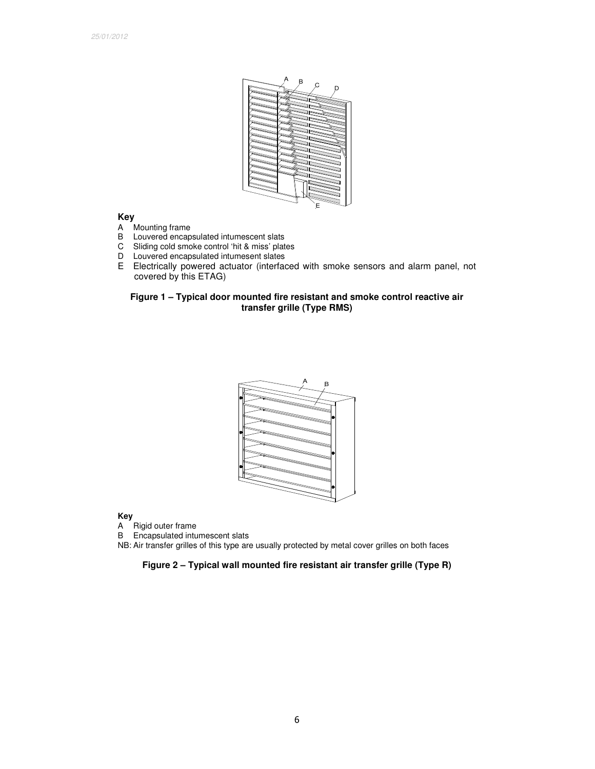

# **Key**

- A Mounting frame<br>B Louvered encap
- B Louvered encapsulated intumescent slats<br>C Sliding cold smoke control 'hit & miss' plat
- Sliding cold smoke control 'hit & miss' plates
- D Louvered encapsulated intumesent slates
- E Electrically powered actuator (interfaced with smoke sensors and alarm panel, not covered by this ETAG)

# **Figure 1 – Typical door mounted fire resistant and smoke control reactive air transfer grille (Type RMS)**



# **Key**

A Rigid outer frame<br>B Encapsulated intu

Encapsulated intumescent slats

NB: Air transfer grilles of this type are usually protected by metal cover grilles on both faces

# **Figure 2 – Typical wall mounted fire resistant air transfer grille (Type R)**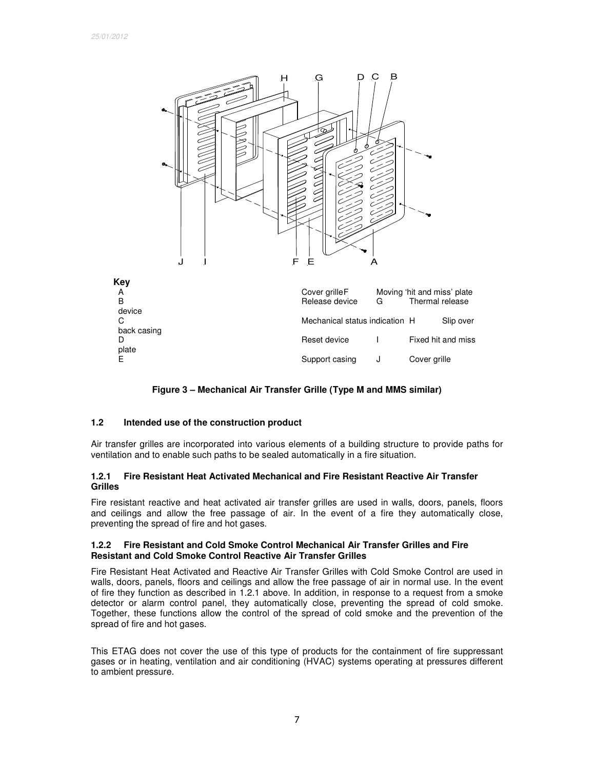

**Figure 3 – Mechanical Air Transfer Grille (Type M and MMS similar)** 

# **1.2 Intended use of the construction product**

Air transfer grilles are incorporated into various elements of a building structure to provide paths for ventilation and to enable such paths to be sealed automatically in a fire situation.

# **1.2.1 Fire Resistant Heat Activated Mechanical and Fire Resistant Reactive Air Transfer Grilles**

Fire resistant reactive and heat activated air transfer grilles are used in walls, doors, panels, floors and ceilings and allow the free passage of air. In the event of a fire they automatically close, preventing the spread of fire and hot gases.

### **1.2.2 Fire Resistant and Cold Smoke Control Mechanical Air Transfer Grilles and Fire Resistant and Cold Smoke Control Reactive Air Transfer Grilles**

Fire Resistant Heat Activated and Reactive Air Transfer Grilles with Cold Smoke Control are used in walls, doors, panels, floors and ceilings and allow the free passage of air in normal use. In the event of fire they function as described in 1.2.1 above. In addition, in response to a request from a smoke detector or alarm control panel, they automatically close, preventing the spread of cold smoke. Together, these functions allow the control of the spread of cold smoke and the prevention of the spread of fire and hot gases.

This ETAG does not cover the use of this type of products for the containment of fire suppressant gases or in heating, ventilation and air conditioning (HVAC) systems operating at pressures different to ambient pressure.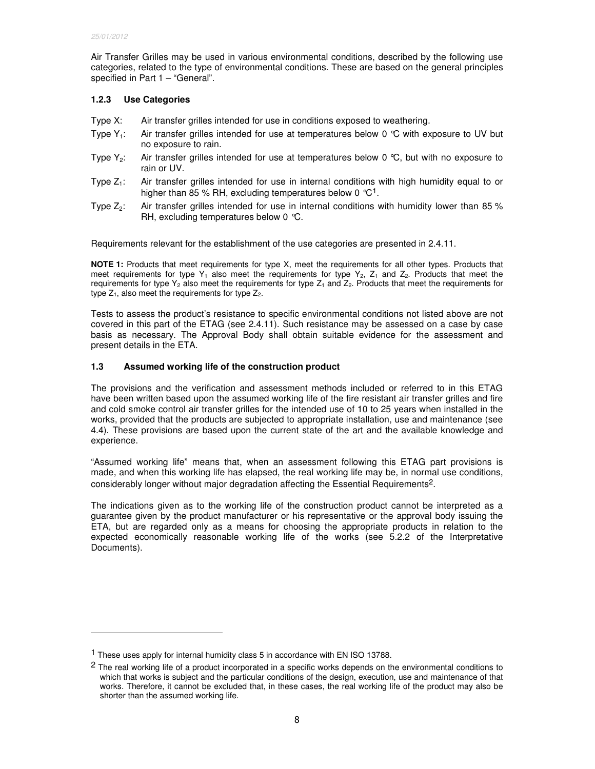-

Air Transfer Grilles may be used in various environmental conditions, described by the following use categories, related to the type of environmental conditions. These are based on the general principles specified in Part 1 – "General".

# **1.2.3 Use Categories**

- Type X: Air transfer grilles intended for use in conditions exposed to weathering.
- Type  $Y_1$ : Air transfer grilles intended for use at temperatures below 0 °C with exposure to UV but no exposure to rain.
- Type  $Y_2$ : Air transfer grilles intended for use at temperatures below 0 °C, but with no exposure to rain or UV.
- Type  $Z_1$ : Air transfer grilles intended for use in internal conditions with high humidity equal to or higher than 85 % RH, excluding temperatures below 0  $°C<sup>1</sup>$ .
- Type  $Z_2$ : Air transfer grilles intended for use in internal conditions with humidity lower than 85 % RH, excluding temperatures below 0 °C.

Requirements relevant for the establishment of the use categories are presented in 2.4.11.

**NOTE 1:** Products that meet requirements for type X, meet the requirements for all other types. Products that meet requirements for type Y<sub>1</sub> also meet the requirements for type Y<sub>2</sub>, Z<sub>1</sub> and Z<sub>2</sub>. Products that meet the requirements for type  $Y_2$  also meet the requirements for type  $Z_1$  and  $Z_2$ . Products that meet the requirements for type  $Z_1$ , also meet the requirements for type  $Z_2$ .

Tests to assess the product's resistance to specific environmental conditions not listed above are not covered in this part of the ETAG (see 2.4.11). Such resistance may be assessed on a case by case basis as necessary. The Approval Body shall obtain suitable evidence for the assessment and present details in the ETA.

# **1.3 Assumed working life of the construction product**

The provisions and the verification and assessment methods included or referred to in this ETAG have been written based upon the assumed working life of the fire resistant air transfer grilles and fire and cold smoke control air transfer grilles for the intended use of 10 to 25 years when installed in the works, provided that the products are subjected to appropriate installation, use and maintenance (see 4.4). These provisions are based upon the current state of the art and the available knowledge and experience.

"Assumed working life" means that, when an assessment following this ETAG part provisions is made, and when this working life has elapsed, the real working life may be, in normal use conditions, considerably longer without major degradation affecting the Essential Requirements2.

The indications given as to the working life of the construction product cannot be interpreted as a guarantee given by the product manufacturer or his representative or the approval body issuing the ETA, but are regarded only as a means for choosing the appropriate products in relation to the expected economically reasonable working life of the works (see 5.2.2 of the Interpretative Documents).

<sup>&</sup>lt;sup>1</sup> These uses apply for internal humidity class 5 in accordance with EN ISO 13788.

<sup>&</sup>lt;sup>2</sup> The real working life of a product incorporated in a specific works depends on the environmental conditions to which that works is subject and the particular conditions of the design, execution, use and maintenance of that works. Therefore, it cannot be excluded that, in these cases, the real working life of the product may also be shorter than the assumed working life.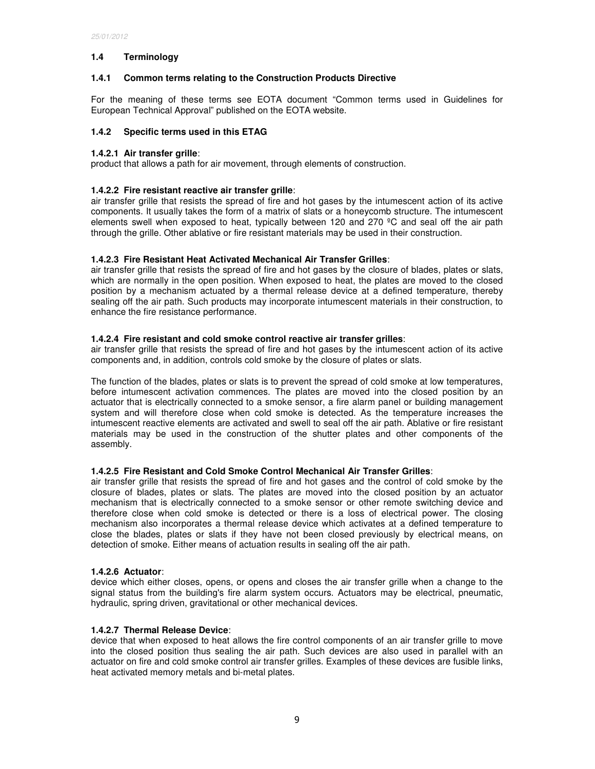# **1.4 Terminology**

# **1.4.1 Common terms relating to the Construction Products Directive**

For the meaning of these terms see EOTA document "Common terms used in Guidelines for European Technical Approval" published on the EOTA website.

# **1.4.2 Specific terms used in this ETAG**

## **1.4.2.1 Air transfer grille**:

product that allows a path for air movement, through elements of construction.

## **1.4.2.2 Fire resistant reactive air transfer grille**:

air transfer grille that resists the spread of fire and hot gases by the intumescent action of its active components. It usually takes the form of a matrix of slats or a honeycomb structure. The intumescent elements swell when exposed to heat, typically between 120 and 270  $^{\circ}$ C and seal off the air path through the grille. Other ablative or fire resistant materials may be used in their construction.

# **1.4.2.3 Fire Resistant Heat Activated Mechanical Air Transfer Grilles**:

air transfer grille that resists the spread of fire and hot gases by the closure of blades, plates or slats, which are normally in the open position. When exposed to heat, the plates are moved to the closed position by a mechanism actuated by a thermal release device at a defined temperature, thereby sealing off the air path. Such products may incorporate intumescent materials in their construction, to enhance the fire resistance performance.

# **1.4.2.4 Fire resistant and cold smoke control reactive air transfer grilles**:

air transfer grille that resists the spread of fire and hot gases by the intumescent action of its active components and, in addition, controls cold smoke by the closure of plates or slats.

The function of the blades, plates or slats is to prevent the spread of cold smoke at low temperatures, before intumescent activation commences. The plates are moved into the closed position by an actuator that is electrically connected to a smoke sensor, a fire alarm panel or building management system and will therefore close when cold smoke is detected. As the temperature increases the intumescent reactive elements are activated and swell to seal off the air path. Ablative or fire resistant materials may be used in the construction of the shutter plates and other components of the assembly.

### **1.4.2.5 Fire Resistant and Cold Smoke Control Mechanical Air Transfer Grilles**:

air transfer grille that resists the spread of fire and hot gases and the control of cold smoke by the closure of blades, plates or slats. The plates are moved into the closed position by an actuator mechanism that is electrically connected to a smoke sensor or other remote switching device and therefore close when cold smoke is detected or there is a loss of electrical power. The closing mechanism also incorporates a thermal release device which activates at a defined temperature to close the blades, plates or slats if they have not been closed previously by electrical means, on detection of smoke. Either means of actuation results in sealing off the air path.

### **1.4.2.6 Actuator**:

device which either closes, opens, or opens and closes the air transfer grille when a change to the signal status from the building's fire alarm system occurs. Actuators may be electrical, pneumatic, hydraulic, spring driven, gravitational or other mechanical devices.

### **1.4.2.7 Thermal Release Device**:

device that when exposed to heat allows the fire control components of an air transfer grille to move into the closed position thus sealing the air path. Such devices are also used in parallel with an actuator on fire and cold smoke control air transfer grilles. Examples of these devices are fusible links, heat activated memory metals and bi-metal plates.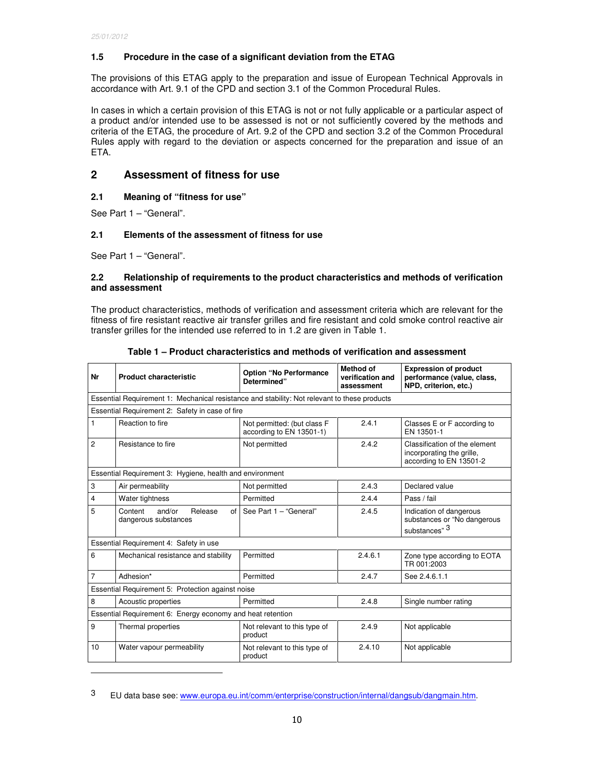# **1.5 Procedure in the case of a significant deviation from the ETAG**

The provisions of this ETAG apply to the preparation and issue of European Technical Approvals in accordance with Art. 9.1 of the CPD and section 3.1 of the Common Procedural Rules.

In cases in which a certain provision of this ETAG is not or not fully applicable or a particular aspect of a product and/or intended use to be assessed is not or not sufficiently covered by the methods and criteria of the ETAG, the procedure of Art. 9.2 of the CPD and section 3.2 of the Common Procedural Rules apply with regard to the deviation or aspects concerned for the preparation and issue of an ETA.

# **2 Assessment of fitness for use**

# **2.1 Meaning of "fitness for use"**

See Part 1 – "General".

# **2.1 Elements of the assessment of fitness for use**

See Part 1 – "General".

-

## **2.2 Relationship of requirements to the product characteristics and methods of verification and assessment**

The product characteristics, methods of verification and assessment criteria which are relevant for the fitness of fire resistant reactive air transfer grilles and fire resistant and cold smoke control reactive air transfer grilles for the intended use referred to in 1.2 are given in Table 1.

| Nr             | <b>Product characteristic</b>                                                                | <b>Option "No Performance</b><br>Determined"            | <b>Method of</b><br>verification and<br>assessment | <b>Expression of product</b><br>performance (value, class,<br>NPD, criterion, etc.)   |  |
|----------------|----------------------------------------------------------------------------------------------|---------------------------------------------------------|----------------------------------------------------|---------------------------------------------------------------------------------------|--|
|                | Essential Requirement 1: Mechanical resistance and stability: Not relevant to these products |                                                         |                                                    |                                                                                       |  |
|                | Essential Requirement 2: Safety in case of fire                                              |                                                         |                                                    |                                                                                       |  |
| $\mathbf{1}$   | Reaction to fire                                                                             | Not permitted: (but class F<br>according to EN 13501-1) | 2.4.1                                              | Classes E or F according to<br>EN 13501-1                                             |  |
| $\overline{c}$ | Resistance to fire                                                                           | Not permitted                                           | 2.4.2                                              | Classification of the element<br>incorporating the grille,<br>according to EN 13501-2 |  |
|                | Essential Requirement 3: Hygiene, health and environment                                     |                                                         |                                                    |                                                                                       |  |
| 3              | Air permeability                                                                             | Not permitted                                           | 2.4.3                                              | Declared value                                                                        |  |
| $\overline{4}$ | Water tightness                                                                              | Permitted                                               | 2.4.4                                              | Pass / fail                                                                           |  |
| 5              | and/or<br>Release<br>Content<br>of<br>dangerous substances                                   | See Part 1 - "General"                                  | 2.4.5                                              | Indication of dangerous<br>substances or "No dangerous<br>substances" 3               |  |
|                | Essential Requirement 4: Safety in use                                                       |                                                         |                                                    |                                                                                       |  |
| 6              | Mechanical resistance and stability                                                          | Permitted                                               | 2.4.6.1                                            | Zone type according to EOTA<br>TR 001:2003                                            |  |
| $\overline{7}$ | Adhesion*                                                                                    | Permitted                                               | 2.4.7                                              | See 2.4.6.1.1                                                                         |  |
|                | Essential Requirement 5: Protection against noise                                            |                                                         |                                                    |                                                                                       |  |
| 8              | Acoustic properties                                                                          | Permitted                                               | 2.4.8                                              | Single number rating                                                                  |  |
|                | Essential Requirement 6: Energy economy and heat retention                                   |                                                         |                                                    |                                                                                       |  |
| 9              | Thermal properties                                                                           | Not relevant to this type of<br>product                 | 2.4.9                                              | Not applicable                                                                        |  |
| 10             | Water vapour permeability                                                                    | Not relevant to this type of<br>product                 | 2.4.10                                             | Not applicable                                                                        |  |

**Table 1 – Product characteristics and methods of verification and assessment** 

<sup>3</sup> EU data base see: www.europa.eu.int/comm/enterprise/construction/internal/dangsub/dangmain.htm.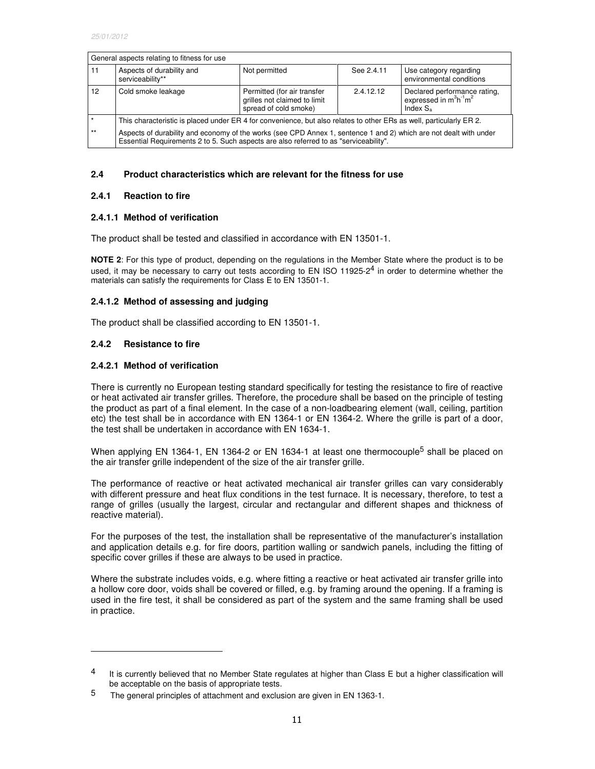| General aspects relating to fitness for use |                                                                                                                                                                                                            |                                                                                      |            |                                                                        |  |
|---------------------------------------------|------------------------------------------------------------------------------------------------------------------------------------------------------------------------------------------------------------|--------------------------------------------------------------------------------------|------------|------------------------------------------------------------------------|--|
| 11                                          | Aspects of durability and<br>serviceability**                                                                                                                                                              | Not permitted                                                                        | See 2.4.11 | Use category regarding<br>environmental conditions                     |  |
| 12                                          | Cold smoke leakage                                                                                                                                                                                         | Permitted (for air transfer<br>grilles not claimed to limit<br>spread of cold smoke) | 2.4.12.12  | Declared performance rating,<br>expressed in $m^3h^1m^2$<br>Index $Sa$ |  |
|                                             | This characteristic is placed under ER 4 for convenience, but also relates to other ERs as well, particularly ER 2.                                                                                        |                                                                                      |            |                                                                        |  |
| $***$                                       | Aspects of durability and economy of the works (see CPD Annex 1, sentence 1 and 2) which are not dealt with under<br>Essential Requirements 2 to 5. Such aspects are also referred to as "serviceability". |                                                                                      |            |                                                                        |  |

#### **2.4 Product characteristics which are relevant for the fitness for use**

#### **2.4.1 Reaction to fire**

#### **2.4.1.1 Method of verification**

The product shall be tested and classified in accordance with EN 13501-1.

**NOTE 2**: For this type of product, depending on the regulations in the Member State where the product is to be used, it may be necessary to carry out tests according to EN ISO 11925-2<sup>4</sup> in order to determine whether the materials can satisfy the requirements for Class E to EN 13501-1.

### **2.4.1.2 Method of assessing and judging**

The product shall be classified according to EN 13501-1.

### **2.4.2 Resistance to fire**

-

### **2.4.2.1 Method of verification**

There is currently no European testing standard specifically for testing the resistance to fire of reactive or heat activated air transfer grilles. Therefore, the procedure shall be based on the principle of testing the product as part of a final element. In the case of a non-loadbearing element (wall, ceiling, partition etc) the test shall be in accordance with EN 1364-1 or EN 1364-2. Where the grille is part of a door, the test shall be undertaken in accordance with EN 1634-1.

When applying EN 1364-1, EN 1364-2 or EN 1634-1 at least one thermocouple<sup>5</sup> shall be placed on the air transfer grille independent of the size of the air transfer grille.

The performance of reactive or heat activated mechanical air transfer grilles can vary considerably with different pressure and heat flux conditions in the test furnace. It is necessary, therefore, to test a range of grilles (usually the largest, circular and rectangular and different shapes and thickness of reactive material).

For the purposes of the test, the installation shall be representative of the manufacturer's installation and application details e.g. for fire doors, partition walling or sandwich panels, including the fitting of specific cover grilles if these are always to be used in practice.

Where the substrate includes voids, e.g. where fitting a reactive or heat activated air transfer grille into a hollow core door, voids shall be covered or filled, e.g. by framing around the opening. If a framing is used in the fire test, it shall be considered as part of the system and the same framing shall be used in practice.

<sup>&</sup>lt;sup>4</sup> It is currently believed that no Member State regulates at higher than Class E but a higher classification will be acceptable on the basis of appropriate tests.

<sup>5</sup> The general principles of attachment and exclusion are given in EN 1363-1.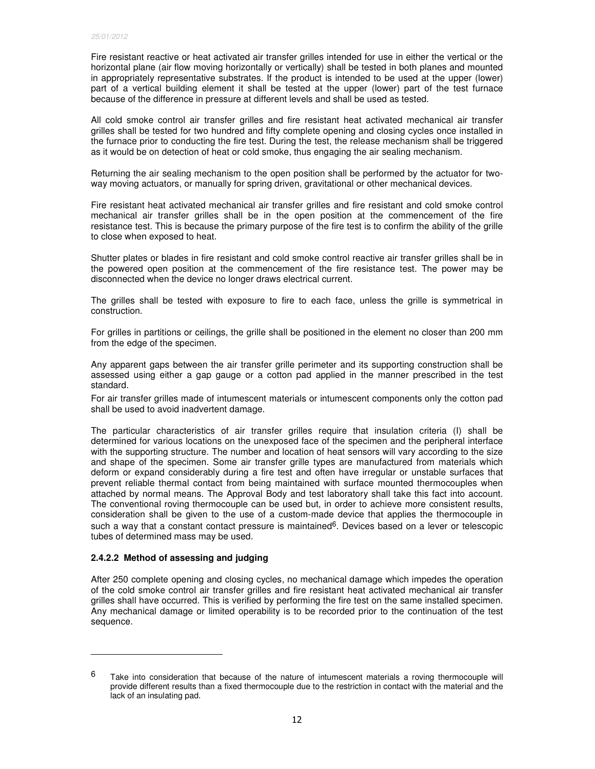Fire resistant reactive or heat activated air transfer grilles intended for use in either the vertical or the horizontal plane (air flow moving horizontally or vertically) shall be tested in both planes and mounted in appropriately representative substrates. If the product is intended to be used at the upper (lower) part of a vertical building element it shall be tested at the upper (lower) part of the test furnace because of the difference in pressure at different levels and shall be used as tested.

All cold smoke control air transfer grilles and fire resistant heat activated mechanical air transfer grilles shall be tested for two hundred and fifty complete opening and closing cycles once installed in the furnace prior to conducting the fire test. During the test, the release mechanism shall be triggered as it would be on detection of heat or cold smoke, thus engaging the air sealing mechanism.

Returning the air sealing mechanism to the open position shall be performed by the actuator for twoway moving actuators, or manually for spring driven, gravitational or other mechanical devices.

Fire resistant heat activated mechanical air transfer grilles and fire resistant and cold smoke control mechanical air transfer grilles shall be in the open position at the commencement of the fire resistance test. This is because the primary purpose of the fire test is to confirm the ability of the grille to close when exposed to heat.

Shutter plates or blades in fire resistant and cold smoke control reactive air transfer grilles shall be in the powered open position at the commencement of the fire resistance test. The power may be disconnected when the device no longer draws electrical current.

The grilles shall be tested with exposure to fire to each face, unless the grille is symmetrical in construction.

For grilles in partitions or ceilings, the grille shall be positioned in the element no closer than 200 mm from the edge of the specimen.

Any apparent gaps between the air transfer grille perimeter and its supporting construction shall be assessed using either a gap gauge or a cotton pad applied in the manner prescribed in the test standard.

For air transfer grilles made of intumescent materials or intumescent components only the cotton pad shall be used to avoid inadvertent damage.

The particular characteristics of air transfer grilles require that insulation criteria (I) shall be determined for various locations on the unexposed face of the specimen and the peripheral interface with the supporting structure. The number and location of heat sensors will vary according to the size and shape of the specimen. Some air transfer grille types are manufactured from materials which deform or expand considerably during a fire test and often have irregular or unstable surfaces that prevent reliable thermal contact from being maintained with surface mounted thermocouples when attached by normal means. The Approval Body and test laboratory shall take this fact into account. The conventional roving thermocouple can be used but, in order to achieve more consistent results, consideration shall be given to the use of a custom-made device that applies the thermocouple in such a way that a constant contact pressure is maintained<sup>6</sup>. Devices based on a lever or telescopic tubes of determined mass may be used.

### **2.4.2.2 Method of assessing and judging**

-

After 250 complete opening and closing cycles, no mechanical damage which impedes the operation of the cold smoke control air transfer grilles and fire resistant heat activated mechanical air transfer grilles shall have occurred. This is verified by performing the fire test on the same installed specimen. Any mechanical damage or limited operability is to be recorded prior to the continuation of the test sequence.

 $6$  Take into consideration that because of the nature of intumescent materials a roving thermocouple will provide different results than a fixed thermocouple due to the restriction in contact with the material and the lack of an insulating pad.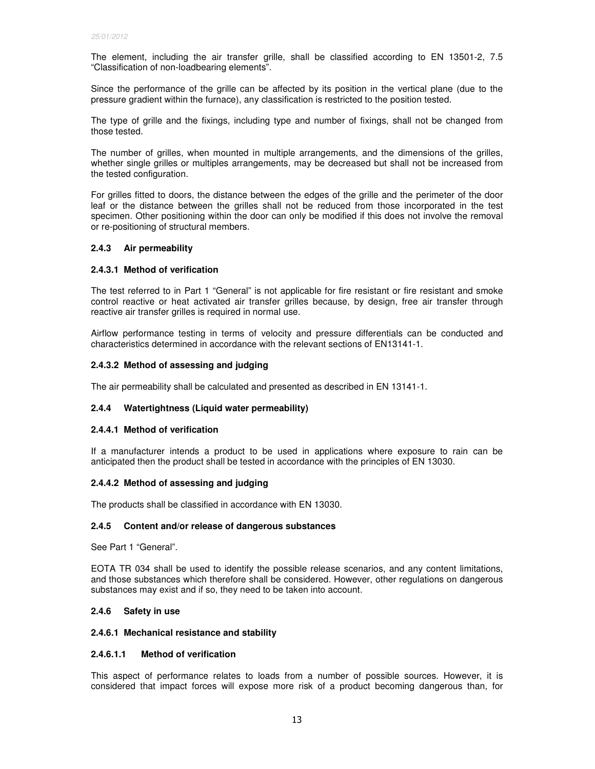The element, including the air transfer grille, shall be classified according to EN 13501-2, 7.5 "Classification of non-loadbearing elements".

Since the performance of the grille can be affected by its position in the vertical plane (due to the pressure gradient within the furnace), any classification is restricted to the position tested.

The type of grille and the fixings, including type and number of fixings, shall not be changed from those tested.

The number of grilles, when mounted in multiple arrangements, and the dimensions of the grilles, whether single grilles or multiples arrangements, may be decreased but shall not be increased from the tested configuration.

For grilles fitted to doors, the distance between the edges of the grille and the perimeter of the door leaf or the distance between the grilles shall not be reduced from those incorporated in the test specimen. Other positioning within the door can only be modified if this does not involve the removal or re-positioning of structural members.

### **2.4.3 Air permeability**

### **2.4.3.1 Method of verification**

The test referred to in Part 1 "General" is not applicable for fire resistant or fire resistant and smoke control reactive or heat activated air transfer grilles because, by design, free air transfer through reactive air transfer grilles is required in normal use.

Airflow performance testing in terms of velocity and pressure differentials can be conducted and characteristics determined in accordance with the relevant sections of EN13141-1.

# **2.4.3.2 Method of assessing and judging**

The air permeability shall be calculated and presented as described in EN 13141-1.

### **2.4.4 Watertightness (Liquid water permeability)**

### **2.4.4.1 Method of verification**

If a manufacturer intends a product to be used in applications where exposure to rain can be anticipated then the product shall be tested in accordance with the principles of EN 13030.

### **2.4.4.2 Method of assessing and judging**

The products shall be classified in accordance with EN 13030.

### **2.4.5 Content and/or release of dangerous substances**

See Part 1 "General".

EOTA TR 034 shall be used to identify the possible release scenarios, and any content limitations, and those substances which therefore shall be considered. However, other regulations on dangerous substances may exist and if so, they need to be taken into account.

### **2.4.6 Safety in use**

#### **2.4.6.1 Mechanical resistance and stability**

### **2.4.6.1.1 Method of verification**

This aspect of performance relates to loads from a number of possible sources. However, it is considered that impact forces will expose more risk of a product becoming dangerous than, for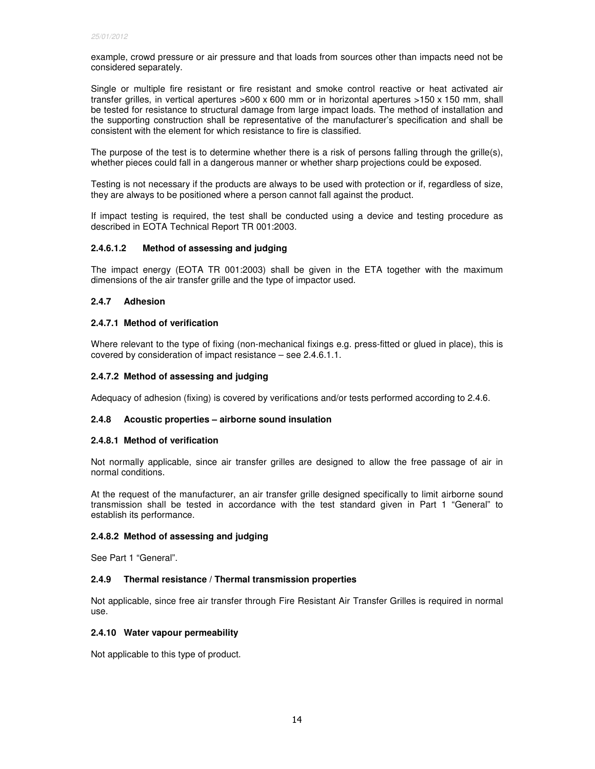example, crowd pressure or air pressure and that loads from sources other than impacts need not be considered separately.

Single or multiple fire resistant or fire resistant and smoke control reactive or heat activated air transfer grilles, in vertical apertures >600 x 600 mm or in horizontal apertures >150 x 150 mm, shall be tested for resistance to structural damage from large impact loads. The method of installation and the supporting construction shall be representative of the manufacturer's specification and shall be consistent with the element for which resistance to fire is classified.

The purpose of the test is to determine whether there is a risk of persons falling through the grille(s), whether pieces could fall in a dangerous manner or whether sharp projections could be exposed.

Testing is not necessary if the products are always to be used with protection or if, regardless of size, they are always to be positioned where a person cannot fall against the product.

If impact testing is required, the test shall be conducted using a device and testing procedure as described in EOTA Technical Report TR 001:2003.

# **2.4.6.1.2 Method of assessing and judging**

The impact energy (EOTA TR 001:2003) shall be given in the ETA together with the maximum dimensions of the air transfer grille and the type of impactor used.

# **2.4.7 Adhesion**

### **2.4.7.1 Method of verification**

Where relevant to the type of fixing (non-mechanical fixings e.g. press-fitted or glued in place), this is covered by consideration of impact resistance – see 2.4.6.1.1.

# **2.4.7.2 Method of assessing and judging**

Adequacy of adhesion (fixing) is covered by verifications and/or tests performed according to 2.4.6.

## **2.4.8 Acoustic properties – airborne sound insulation**

### **2.4.8.1 Method of verification**

Not normally applicable, since air transfer grilles are designed to allow the free passage of air in normal conditions.

At the request of the manufacturer, an air transfer grille designed specifically to limit airborne sound transmission shall be tested in accordance with the test standard given in Part 1 "General" to establish its performance.

### **2.4.8.2 Method of assessing and judging**

See Part 1 "General".

### **2.4.9 Thermal resistance / Thermal transmission properties**

Not applicable, since free air transfer through Fire Resistant Air Transfer Grilles is required in normal use.

### **2.4.10 Water vapour permeability**

Not applicable to this type of product.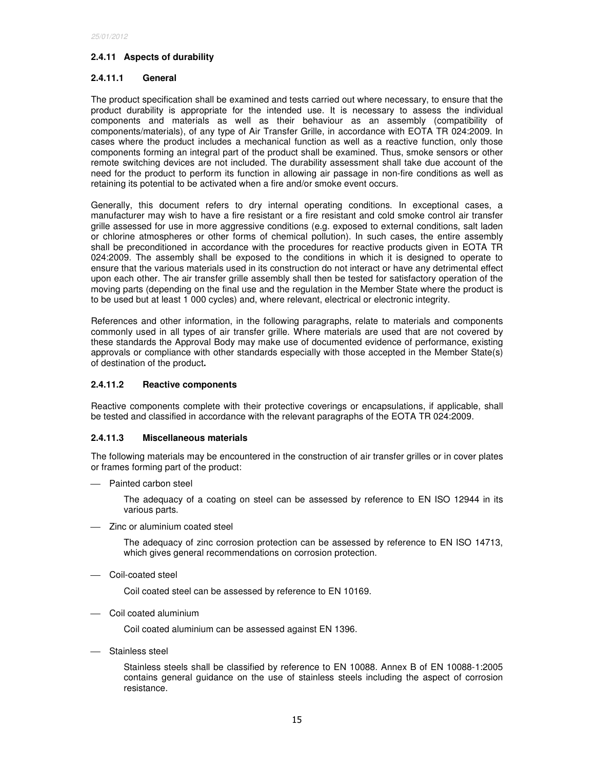# **2.4.11 Aspects of durability**

## **2.4.11.1 General**

The product specification shall be examined and tests carried out where necessary, to ensure that the product durability is appropriate for the intended use. It is necessary to assess the individual components and materials as well as their behaviour as an assembly (compatibility of components/materials), of any type of Air Transfer Grille, in accordance with EOTA TR 024:2009. In cases where the product includes a mechanical function as well as a reactive function, only those components forming an integral part of the product shall be examined. Thus, smoke sensors or other remote switching devices are not included. The durability assessment shall take due account of the need for the product to perform its function in allowing air passage in non-fire conditions as well as retaining its potential to be activated when a fire and/or smoke event occurs.

Generally, this document refers to dry internal operating conditions. In exceptional cases, a manufacturer may wish to have a fire resistant or a fire resistant and cold smoke control air transfer grille assessed for use in more aggressive conditions (e.g. exposed to external conditions, salt laden or chlorine atmospheres or other forms of chemical pollution). In such cases, the entire assembly shall be preconditioned in accordance with the procedures for reactive products given in EOTA TR 024:2009. The assembly shall be exposed to the conditions in which it is designed to operate to ensure that the various materials used in its construction do not interact or have any detrimental effect upon each other. The air transfer grille assembly shall then be tested for satisfactory operation of the moving parts (depending on the final use and the regulation in the Member State where the product is to be used but at least 1 000 cycles) and, where relevant, electrical or electronic integrity.

References and other information, in the following paragraphs, relate to materials and components commonly used in all types of air transfer grille. Where materials are used that are not covered by these standards the Approval Body may make use of documented evidence of performance, existing approvals or compliance with other standards especially with those accepted in the Member State(s) of destination of the product**.** 

# **2.4.11.2 Reactive components**

Reactive components complete with their protective coverings or encapsulations, if applicable, shall be tested and classified in accordance with the relevant paragraphs of the EOTA TR 024:2009.

### **2.4.11.3 Miscellaneous materials**

The following materials may be encountered in the construction of air transfer grilles or in cover plates or frames forming part of the product:

- Painted carbon steel

The adequacy of a coating on steel can be assessed by reference to EN ISO 12944 in its various parts.

Zinc or aluminium coated steel

The adequacy of zinc corrosion protection can be assessed by reference to EN ISO 14713, which gives general recommendations on corrosion protection.

Coil-coated steel

Coil coated steel can be assessed by reference to EN 10169.

Coil coated aluminium

Coil coated aluminium can be assessed against EN 1396.

Stainless steel

Stainless steels shall be classified by reference to EN 10088. Annex B of EN 10088-1:2005 contains general guidance on the use of stainless steels including the aspect of corrosion resistance.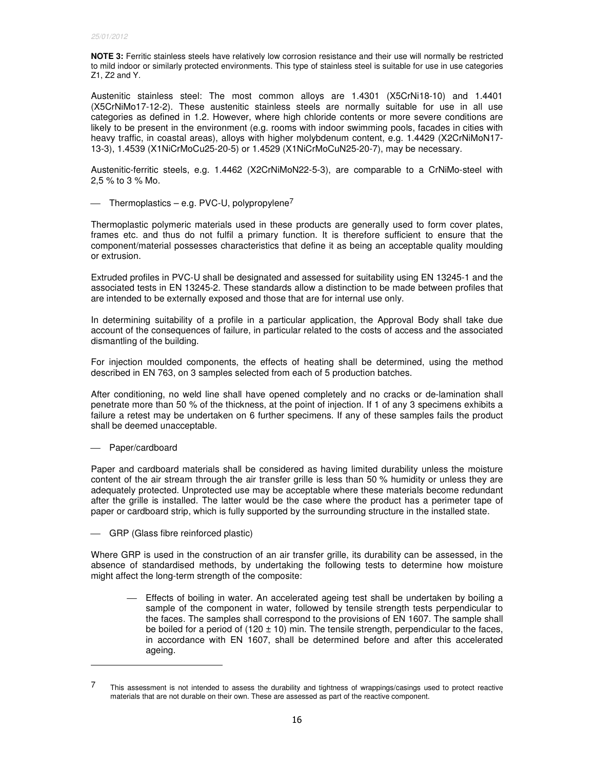**NOTE 3:** Ferritic stainless steels have relatively low corrosion resistance and their use will normally be restricted to mild indoor or similarly protected environments. This type of stainless steel is suitable for use in use categories Z1, Z2 and Y.

Austenitic stainless steel: The most common alloys are 1.4301 (X5CrNi18-10) and 1.4401 (X5CrNiMo17-12-2). These austenitic stainless steels are normally suitable for use in all use categories as defined in 1.2. However, where high chloride contents or more severe conditions are likely to be present in the environment (e.g. rooms with indoor swimming pools, facades in cities with heavy traffic, in coastal areas), alloys with higher molybdenum content, e.g. 1.4429 (X2CrNiMoN17- 13-3), 1.4539 (X1NiCrMoCu25-20-5) or 1.4529 (X1NiCrMoCuN25-20-7), may be necessary.

Austenitic-ferritic steels, e.g. 1.4462 (X2CrNiMoN22-5-3), are comparable to a CrNiMo-steel with 2,5 % to 3 % Mo.

 $-$  Thermoplastics – e.g. PVC-U, polypropylene<sup>7</sup>

Thermoplastic polymeric materials used in these products are generally used to form cover plates, frames etc. and thus do not fulfil a primary function. It is therefore sufficient to ensure that the component/material possesses characteristics that define it as being an acceptable quality moulding or extrusion.

Extruded profiles in PVC-U shall be designated and assessed for suitability using EN 13245-1 and the associated tests in EN 13245-2. These standards allow a distinction to be made between profiles that are intended to be externally exposed and those that are for internal use only.

In determining suitability of a profile in a particular application, the Approval Body shall take due account of the consequences of failure, in particular related to the costs of access and the associated dismantling of the building.

For injection moulded components, the effects of heating shall be determined, using the method described in EN 763, on 3 samples selected from each of 5 production batches.

After conditioning, no weld line shall have opened completely and no cracks or de-lamination shall penetrate more than 50 % of the thickness, at the point of injection. If 1 of any 3 specimens exhibits a failure a retest may be undertaken on 6 further specimens. If any of these samples fails the product shall be deemed unacceptable.

Paper/cardboard

-

Paper and cardboard materials shall be considered as having limited durability unless the moisture content of the air stream through the air transfer grille is less than 50 % humidity or unless they are adequately protected. Unprotected use may be acceptable where these materials become redundant after the grille is installed. The latter would be the case where the product has a perimeter tape of paper or cardboard strip, which is fully supported by the surrounding structure in the installed state.

GRP (Glass fibre reinforced plastic)

Where GRP is used in the construction of an air transfer grille, its durability can be assessed, in the absence of standardised methods, by undertaking the following tests to determine how moisture might affect the long-term strength of the composite:

 Effects of boiling in water. An accelerated ageing test shall be undertaken by boiling a sample of the component in water, followed by tensile strength tests perpendicular to the faces. The samples shall correspond to the provisions of EN 1607. The sample shall be boiled for a period of  $(120 \pm 10)$  min. The tensile strength, perpendicular to the faces, in accordance with EN 1607, shall be determined before and after this accelerated ageing.

<sup>7</sup> This assessment is not intended to assess the durability and tightness of wrappings/casings used to protect reactive materials that are not durable on their own. These are assessed as part of the reactive component.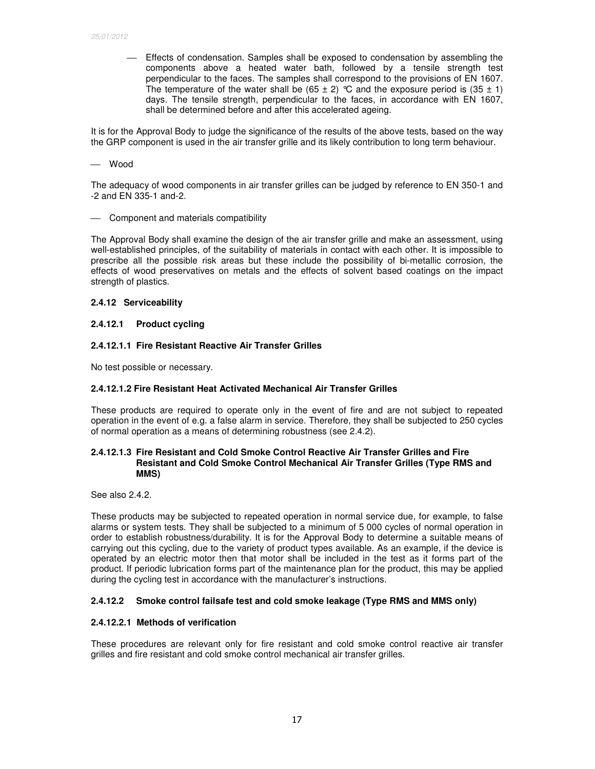Effects of condensation. Samples shall be exposed to condensation by assembling the components above a heated water bath, followed by a tensile strength test perpendicular to the faces. The samples shall correspond to the provisions of EN 1607. The temperature of the water shall be  $(65 \pm 2)$  °C and the exposure period is  $(35 \pm 1)$ days. The tensile strength, perpendicular to the faces, in accordance with EN 1607, shall be determined before and after this accelerated ageing.

It is for the Approval Body to judge the significance of the results of the above tests, based on the way the GRP component is used in the air transfer grille and its likely contribution to long term behaviour.

Wood

The adequacy of wood components in air transfer grilles can be judged by reference to EN 350-1 and -2 and EN 335-1 and-2.

- Component and materials compatibility

The Approval Body shall examine the design of the air transfer grille and make an assessment, using well-established principles, of the suitability of materials in contact with each other. It is impossible to prescribe all the possible risk areas but these include the possibility of bi-metallic corrosion, the effects of wood preservatives on metals and the effects of solvent based coatings on the impact strength of plastics.

#### **2.4.12 Serviceability**

#### **2.4.12.1 Product cycling**

#### **2.4.12.1.1 Fire Resistant Reactive Air Transfer Grilles**

No test possible or necessary.

### **2.4.12.1.2 Fire Resistant Heat Activated Mechanical Air Transfer Grilles**

These products are required to operate only in the event of fire and are not subject to repeated operation in the event of e.g. a false alarm in service. Therefore, they shall be subjected to 250 cycles of normal operation as a means of determining robustness (see 2.4.2).

### **2.4.12.1.3 Fire Resistant and Cold Smoke Control Reactive Air Transfer Grilles and Fire Resistant and Cold Smoke Control Mechanical Air Transfer Grilles (Type RMS and MMS)**

See also 2.4.2.

These products may be subjected to repeated operation in normal service due, for example, to false alarms or system tests. They shall be subjected to a minimum of 5 000 cycles of normal operation in order to establish robustness/durability. It is for the Approval Body to determine a suitable means of carrying out this cycling, due to the variety of product types available. As an example, if the device is operated by an electric motor then that motor shall be included in the test as it forms part of the product. If periodic lubrication forms part of the maintenance plan for the product, this may be applied during the cycling test in accordance with the manufacturer's instructions.

### **2.4.12.2 Smoke control failsafe test and cold smoke leakage (Type RMS and MMS only)**

### **2.4.12.2.1 Methods of verification**

These procedures are relevant only for fire resistant and cold smoke control reactive air transfer grilles and fire resistant and cold smoke control mechanical air transfer grilles.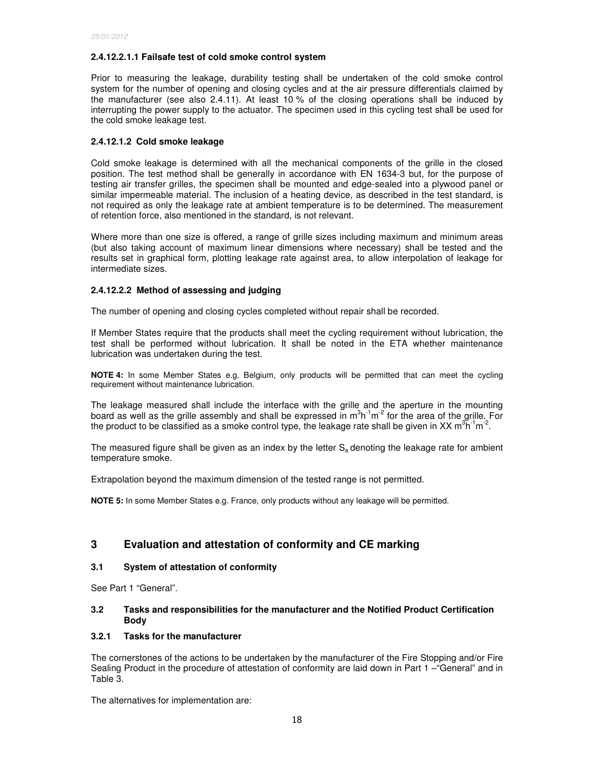# **2.4.12.2.1.1 Failsafe test of cold smoke control system**

Prior to measuring the leakage, durability testing shall be undertaken of the cold smoke control system for the number of opening and closing cycles and at the air pressure differentials claimed by the manufacturer (see also 2.4.11). At least 10 % of the closing operations shall be induced by interrupting the power supply to the actuator. The specimen used in this cycling test shall be used for the cold smoke leakage test.

# **2.4.12.1.2 Cold smoke leakage**

Cold smoke leakage is determined with all the mechanical components of the grille in the closed position. The test method shall be generally in accordance with EN 1634-3 but, for the purpose of testing air transfer grilles, the specimen shall be mounted and edge-sealed into a plywood panel or similar impermeable material. The inclusion of a heating device, as described in the test standard, is not required as only the leakage rate at ambient temperature is to be determined. The measurement of retention force, also mentioned in the standard, is not relevant.

Where more than one size is offered, a range of grille sizes including maximum and minimum areas (but also taking account of maximum linear dimensions where necessary) shall be tested and the results set in graphical form, plotting leakage rate against area, to allow interpolation of leakage for intermediate sizes.

# **2.4.12.2.2 Method of assessing and judging**

The number of opening and closing cycles completed without repair shall be recorded.

If Member States require that the products shall meet the cycling requirement without lubrication, the test shall be performed without lubrication. It shall be noted in the ETA whether maintenance lubrication was undertaken during the test.

**NOTE 4:** In some Member States e.g. Belgium, only products will be permitted that can meet the cycling requirement without maintenance lubrication.

The leakage measured shall include the interface with the grille and the aperture in the mounting board as well as the grille assembly and shall be expressed in  $m^3h^{-1}m^{-2}$  for the area of the grille. For the product to be classified as a smoke control type, the leakage rate shall be given in XX m<sup>3</sup>h<sup>-1</sup>m<sup>-2</sup>.

The measured figure shall be given as an index by the letter  $S_a$  denoting the leakage rate for ambient temperature smoke.

Extrapolation beyond the maximum dimension of the tested range is not permitted.

**NOTE 5:** In some Member States e.g. France, only products without any leakage will be permitted.

# **3 Evaluation and attestation of conformity and CE marking**

### **3.1 System of attestation of conformity**

See Part 1 "General".

# **3.2 Tasks and responsibilities for the manufacturer and the Notified Product Certification Body**

# **3.2.1 Tasks for the manufacturer**

The cornerstones of the actions to be undertaken by the manufacturer of the Fire Stopping and/or Fire Sealing Product in the procedure of attestation of conformity are laid down in Part 1 –"General" and in Table 3.

The alternatives for implementation are: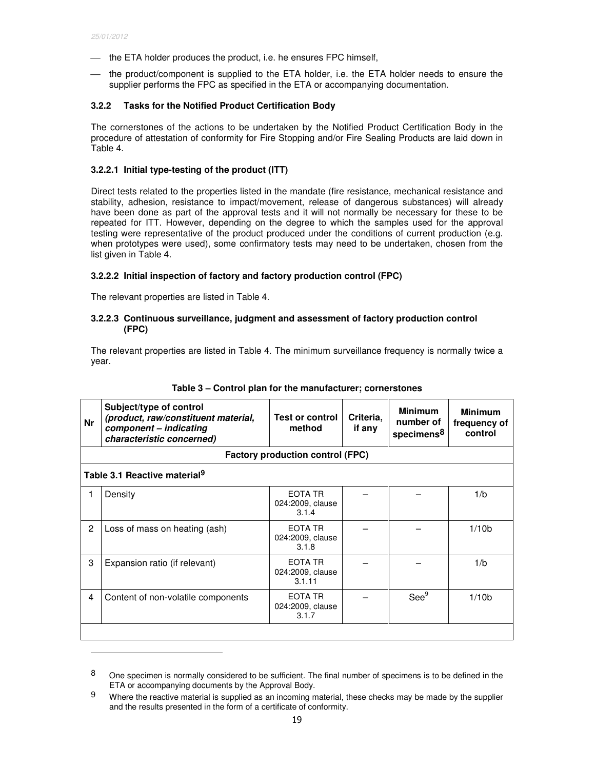-

- $-$  the ETA holder produces the product, i.e. he ensures FPC himself,
- the product/component is supplied to the ETA holder, i.e. the ETA holder needs to ensure the supplier performs the FPC as specified in the ETA or accompanying documentation.

# **3.2.2 Tasks for the Notified Product Certification Body**

The cornerstones of the actions to be undertaken by the Notified Product Certification Body in the procedure of attestation of conformity for Fire Stopping and/or Fire Sealing Products are laid down in Table 4.

# **3.2.2.1 Initial type-testing of the product (ITT)**

Direct tests related to the properties listed in the mandate (fire resistance, mechanical resistance and stability, adhesion, resistance to impact/movement, release of dangerous substances) will already have been done as part of the approval tests and it will not normally be necessary for these to be repeated for ITT. However, depending on the degree to which the samples used for the approval testing were representative of the product produced under the conditions of current production (e.g. when prototypes were used), some confirmatory tests may need to be undertaken, chosen from the list given in Table 4.

# **3.2.2.2 Initial inspection of factory and factory production control (FPC)**

The relevant properties are listed in Table 4.

# **3.2.2.3 Continuous surveillance, judgment and assessment of factory production control (FPC)**

The relevant properties are listed in Table 4. The minimum surveillance frequency is normally twice a year.

| <b>Nr</b> | Subject/type of control<br>(product, raw/constituent material,<br>component - indicating<br>characteristic concerned) | Test or control<br>method               | Criteria.<br>if any | <b>Minimum</b><br>number of<br>specimens <sup>8</sup> | <b>Minimum</b><br>frequency of<br>control |
|-----------|-----------------------------------------------------------------------------------------------------------------------|-----------------------------------------|---------------------|-------------------------------------------------------|-------------------------------------------|
|           |                                                                                                                       | <b>Factory production control (FPC)</b> |                     |                                                       |                                           |
|           | Table 3.1 Reactive material <sup>9</sup>                                                                              |                                         |                     |                                                       |                                           |
| 1         | Density                                                                                                               | EOTA TR<br>024:2009, clause<br>3.1.4    |                     |                                                       | 1/b                                       |
| 2         | Loss of mass on heating (ash)                                                                                         | EOTA TR<br>024:2009, clause<br>3.1.8    |                     |                                                       | 1/10 <sub>b</sub>                         |
| 3         | Expansion ratio (if relevant)                                                                                         | EOTA TR<br>024:2009, clause<br>3.1.11   |                     |                                                       | 1/b                                       |
| 4         | Content of non-volatile components                                                                                    | EOTA TR<br>024:2009, clause<br>3.1.7    |                     | See <sup>9</sup>                                      | 1/10 <sub>b</sub>                         |
|           |                                                                                                                       |                                         |                     |                                                       |                                           |

|  |  |  | Table 3 - Control plan for the manufacturer; cornerstones |  |
|--|--|--|-----------------------------------------------------------|--|
|--|--|--|-----------------------------------------------------------|--|

<sup>8</sup> One specimen is normally considered to be sufficient. The final number of specimens is to be defined in the ETA or accompanying documents by the Approval Body.

 $9$  Where the reactive material is supplied as an incoming material, these checks may be made by the supplier and the results presented in the form of a certificate of conformity.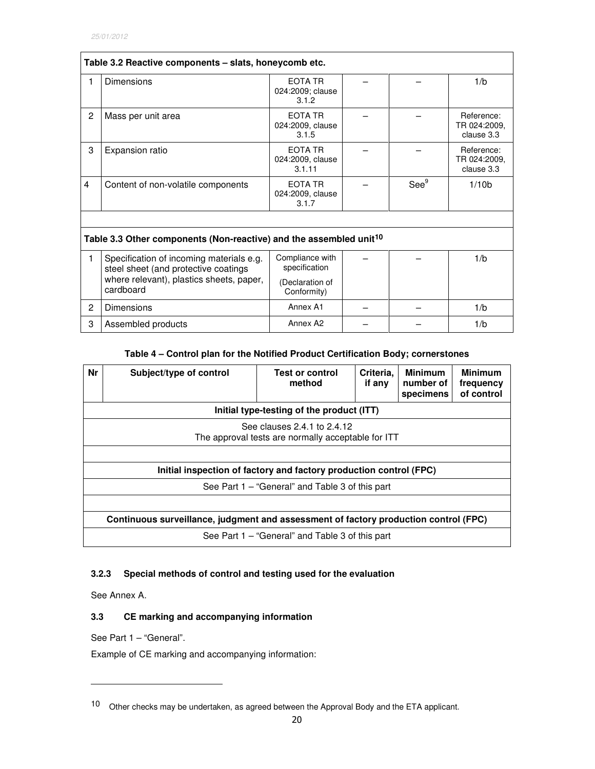| Table 3.2 Reactive components - slats, honeycomb etc. |                                                                                  |                                       |  |                  |                                          |  |
|-------------------------------------------------------|----------------------------------------------------------------------------------|---------------------------------------|--|------------------|------------------------------------------|--|
| 1                                                     | <b>Dimensions</b>                                                                | EOTA TR<br>024:2009; clause<br>3.1.2  |  |                  | 1/b                                      |  |
| 2                                                     | Mass per unit area                                                               | FOTA TR<br>024:2009, clause<br>3.1.5  |  |                  | Reference:<br>TR 024:2009,<br>clause 3.3 |  |
| 3                                                     | <b>Expansion ratio</b>                                                           | EOTA TR<br>024:2009, clause<br>3.1.11 |  |                  | Reference:<br>TR 024:2009,<br>clause 3.3 |  |
| $\overline{\mathbf{4}}$                               | Content of non-volatile components                                               | EOTA TR<br>024:2009, clause<br>3.1.7  |  | See <sup>9</sup> | 1/10 <sub>b</sub>                        |  |
|                                                       |                                                                                  |                                       |  |                  |                                          |  |
|                                                       | Table 3.3 Other components (Non-reactive) and the assembled unit <sup>10</sup>   |                                       |  |                  |                                          |  |
| 1                                                     | Specification of incoming materials e.g.<br>steel sheet (and protective coatings | Compliance with<br>specification      |  |                  | 1/b                                      |  |
|                                                       | where relevant), plastics sheets, paper,<br>cardboard                            | (Declaration of<br>Conformity)        |  |                  |                                          |  |
| 2                                                     | Dimensions                                                                       | Annex A1                              |  |                  | 1/b                                      |  |
| 3                                                     | Assembled products                                                               | Annex A <sub>2</sub>                  |  |                  | 1/b                                      |  |

# **Table 4 – Control plan for the Notified Product Certification Body; cornerstones**

| Nr | Subject/type of control                                                              | <b>Test or control</b><br>method | Criteria.<br>if any | <b>Minimum</b><br>number of<br>specimens | <b>Minimum</b><br>frequency<br>of control |  |
|----|--------------------------------------------------------------------------------------|----------------------------------|---------------------|------------------------------------------|-------------------------------------------|--|
|    | Initial type-testing of the product (ITT)                                            |                                  |                     |                                          |                                           |  |
|    | See clauses 2.4.1 to 2.4.12<br>The approval tests are normally acceptable for ITT    |                                  |                     |                                          |                                           |  |
|    |                                                                                      |                                  |                     |                                          |                                           |  |
|    | Initial inspection of factory and factory production control (FPC)                   |                                  |                     |                                          |                                           |  |
|    | See Part 1 – "General" and Table 3 of this part                                      |                                  |                     |                                          |                                           |  |
|    |                                                                                      |                                  |                     |                                          |                                           |  |
|    | Continuous surveillance, judgment and assessment of factory production control (FPC) |                                  |                     |                                          |                                           |  |
|    | See Part 1 – "General" and Table 3 of this part                                      |                                  |                     |                                          |                                           |  |

# **3.2.3 Special methods of control and testing used for the evaluation**

See Annex A.

-

# **3.3 CE marking and accompanying information**

See Part 1 – "General".

Example of CE marking and accompanying information:

<sup>10</sup> Other checks may be undertaken, as agreed between the Approval Body and the ETA applicant.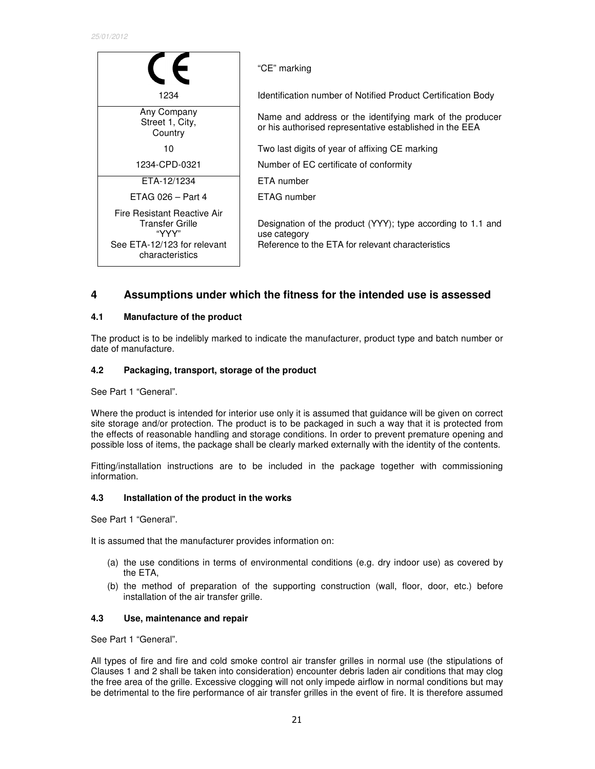|                                                                                                           | "CE" marking                                                                                                                     |
|-----------------------------------------------------------------------------------------------------------|----------------------------------------------------------------------------------------------------------------------------------|
| 1234                                                                                                      | Identification number of Notified Product Certification Body                                                                     |
| Any Company<br>Street 1, City,<br>Country                                                                 | Name and address or the identifying mark of the producer<br>or his authorised representative established in the EEA              |
| 10                                                                                                        | Two last digits of year of affixing CE marking                                                                                   |
| 1234-CPD-0321                                                                                             | Number of EC certificate of conformity                                                                                           |
| ETA-12/1234                                                                                               | ETA number                                                                                                                       |
| ETAG 026 - Part 4                                                                                         | ETAG number                                                                                                                      |
| Fire Resistant Reactive Air<br>Transfer Grille<br>"YYY"<br>See ETA-12/123 for relevant<br>characteristics | Designation of the product (YYY); type according to 1.1 and<br>use category<br>Reference to the ETA for relevant characteristics |

# **4 Assumptions under which the fitness for the intended use is assessed**

# **4.1 Manufacture of the product**

The product is to be indelibly marked to indicate the manufacturer, product type and batch number or date of manufacture.

# **4.2 Packaging, transport, storage of the product**

See Part 1 "General".

Where the product is intended for interior use only it is assumed that guidance will be given on correct site storage and/or protection. The product is to be packaged in such a way that it is protected from the effects of reasonable handling and storage conditions. In order to prevent premature opening and possible loss of items, the package shall be clearly marked externally with the identity of the contents.

Fitting/installation instructions are to be included in the package together with commissioning information.

### **4.3 Installation of the product in the works**

See Part 1 "General".

It is assumed that the manufacturer provides information on:

- (a) the use conditions in terms of environmental conditions (e.g. dry indoor use) as covered by the ETA,
- (b) the method of preparation of the supporting construction (wall, floor, door, etc.) before installation of the air transfer grille.

### **4.3 Use, maintenance and repair**

See Part 1 "General".

All types of fire and fire and cold smoke control air transfer grilles in normal use (the stipulations of Clauses 1 and 2 shall be taken into consideration) encounter debris laden air conditions that may clog the free area of the grille. Excessive clogging will not only impede airflow in normal conditions but may be detrimental to the fire performance of air transfer grilles in the event of fire. It is therefore assumed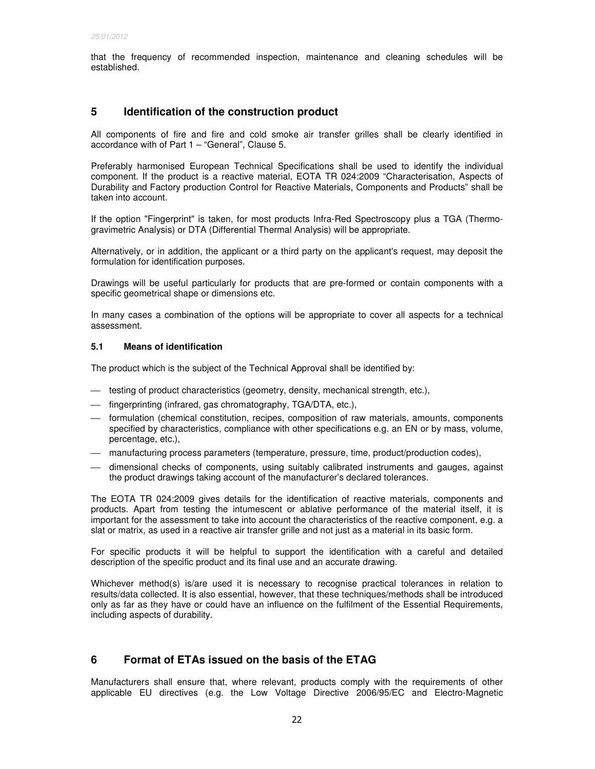that the frequency of recommended inspection, maintenance and cleaning schedules will be established.

# **5 Identification of the construction product**

All components of fire and fire and cold smoke air transfer grilles shall be clearly identified in accordance with of Part 1 – "General", Clause 5.

Preferably harmonised European Technical Specifications shall be used to identify the individual component. If the product is a reactive material, EOTA TR 024:2009 "Characterisation, Aspects of Durability and Factory production Control for Reactive Materials, Components and Products" shall be taken into account.

If the option "Fingerprint" is taken, for most products Infra-Red Spectroscopy plus a TGA (Thermogravimetric Analysis) or DTA (Differential Thermal Analysis) will be appropriate.

Alternatively, or in addition, the applicant or a third party on the applicant's request, may deposit the formulation for identification purposes.

Drawings will be useful particularly for products that are pre-formed or contain components with a specific geometrical shape or dimensions etc.

In many cases a combination of the options will be appropriate to cover all aspects for a technical assessment.

# **5.1 Means of identification**

The product which is the subject of the Technical Approval shall be identified by:

- $-$  testing of product characteristics (geometry, density, mechanical strength, etc.),
- $-$  fingerprinting (infrared, gas chromatography, TGA/DTA, etc.),
- formulation (chemical constitution, recipes, composition of raw materials, amounts, components specified by characteristics, compliance with other specifications e.g. an EN or by mass, volume, percentage, etc.),
- manufacturing process parameters (temperature, pressure, time, product/production codes),
- dimensional checks of components, using suitably calibrated instruments and gauges, against the product drawings taking account of the manufacturer's declared tolerances.

The EOTA TR 024:2009 gives details for the identification of reactive materials, components and products. Apart from testing the intumescent or ablative performance of the material itself, it is important for the assessment to take into account the characteristics of the reactive component, e.g. a slat or matrix, as used in a reactive air transfer grille and not just as a material in its basic form.

For specific products it will be helpful to support the identification with a careful and detailed description of the specific product and its final use and an accurate drawing.

Whichever method(s) is/are used it is necessary to recognise practical tolerances in relation to results/data collected. It is also essential, however, that these techniques/methods shall be introduced only as far as they have or could have an influence on the fulfilment of the Essential Requirements, including aspects of durability.

# **6 Format of ETAs issued on the basis of the ETAG**

Manufacturers shall ensure that, where relevant, products comply with the requirements of other applicable EU directives (e.g. the Low Voltage Directive 2006/95/EC and Electro-Magnetic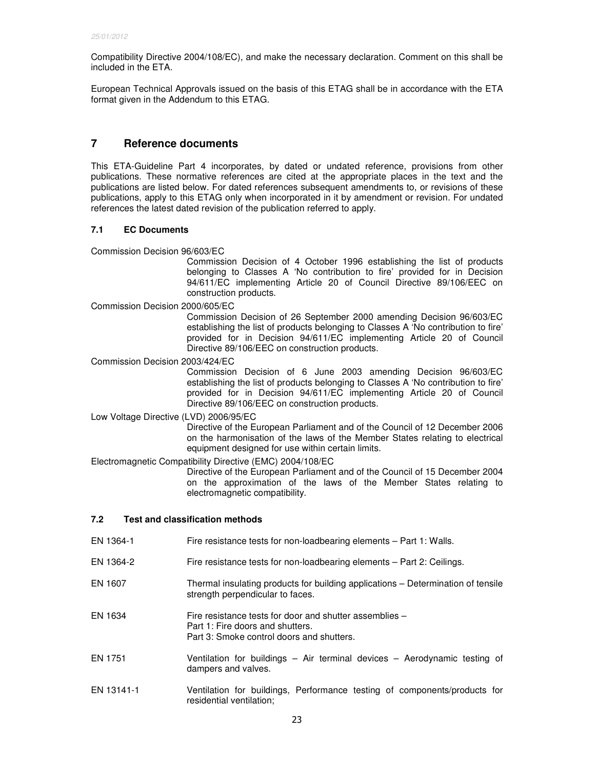Compatibility Directive 2004/108/EC), and make the necessary declaration. Comment on this shall be included in the ETA.

European Technical Approvals issued on the basis of this ETAG shall be in accordance with the ETA format given in the Addendum to this ETAG.

# **7 Reference documents**

This ETA-Guideline Part 4 incorporates, by dated or undated reference, provisions from other publications. These normative references are cited at the appropriate places in the text and the publications are listed below. For dated references subsequent amendments to, or revisions of these publications, apply to this ETAG only when incorporated in it by amendment or revision. For undated references the latest dated revision of the publication referred to apply.

# **7.1 EC Documents**

Commission Decision 96/603/EC

 Commission Decision of 4 October 1996 establishing the list of products belonging to Classes A 'No contribution to fire' provided for in Decision 94/611/EC implementing Article 20 of Council Directive 89/106/EEC on construction products.

Commission Decision 2000/605/EC

 Commission Decision of 26 September 2000 amending Decision 96/603/EC establishing the list of products belonging to Classes A 'No contribution to fire' provided for in Decision 94/611/EC implementing Article 20 of Council Directive 89/106/EEC on construction products.

Commission Decision 2003/424/EC

 Commission Decision of 6 June 2003 amending Decision 96/603/EC establishing the list of products belonging to Classes A 'No contribution to fire' provided for in Decision 94/611/EC implementing Article 20 of Council Directive 89/106/EEC on construction products.

Low Voltage Directive (LVD) 2006/95/EC

 Directive of the European Parliament and of the Council of 12 December 2006 on the harmonisation of the laws of the Member States relating to electrical equipment designed for use within certain limits.

Electromagnetic Compatibility Directive (EMC) 2004/108/EC

 Directive of the European Parliament and of the Council of 15 December 2004 on the approximation of the laws of the Member States relating to electromagnetic compatibility.

# **7.2 Test and classification methods**

- EN 1364-1 Fire resistance tests for non-loadbearing elements Part 1: Walls.
- EN 1364-2 Fire resistance tests for non-loadbearing elements Part 2: Ceilings.
- EN 1607 Thermal insulating products for building applications Determination of tensile strength perpendicular to faces.
- EN 1634 Fire resistance tests for door and shutter assemblies Part 1: Fire doors and shutters. Part 3: Smoke control doors and shutters.
- EN 1751 Ventilation for buildings Air terminal devices Aerodynamic testing of dampers and valves.
- EN 13141-1 Ventilation for buildings, Performance testing of components/products for residential ventilation;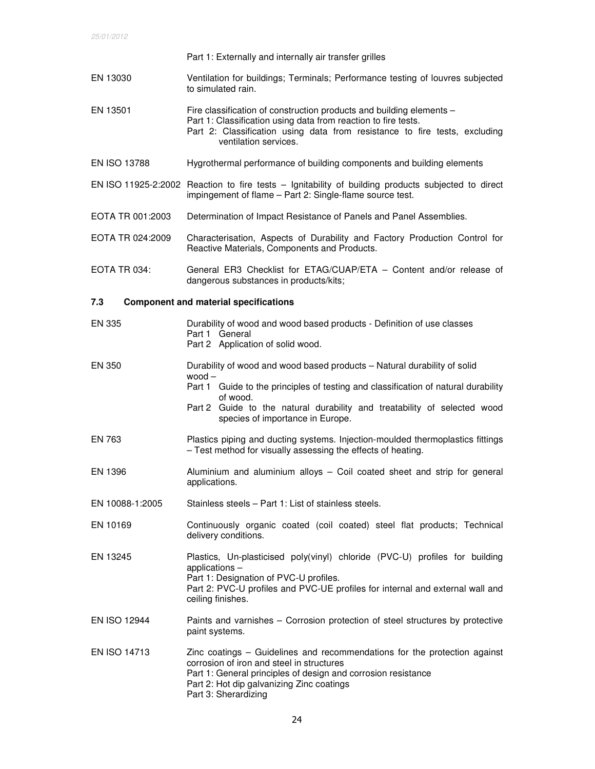|                     | Part 1: Externally and internally air transfer grilles                                                                                                                                                                                                                                                 |
|---------------------|--------------------------------------------------------------------------------------------------------------------------------------------------------------------------------------------------------------------------------------------------------------------------------------------------------|
| EN 13030            | Ventilation for buildings; Terminals; Performance testing of louvres subjected<br>to simulated rain.                                                                                                                                                                                                   |
| EN 13501            | Fire classification of construction products and building elements -<br>Part 1: Classification using data from reaction to fire tests.<br>Part 2: Classification using data from resistance to fire tests, excluding<br>ventilation services.                                                          |
| <b>EN ISO 13788</b> | Hygrothermal performance of building components and building elements                                                                                                                                                                                                                                  |
|                     | EN ISO 11925-2:2002 Reaction to fire tests - Ignitability of building products subjected to direct<br>impingement of flame - Part 2: Single-flame source test.                                                                                                                                         |
| EOTA TR 001:2003    | Determination of Impact Resistance of Panels and Panel Assemblies.                                                                                                                                                                                                                                     |
| EOTA TR 024:2009    | Characterisation, Aspects of Durability and Factory Production Control for<br>Reactive Materials, Components and Products.                                                                                                                                                                             |
| EOTA TR 034:        | General ER3 Checklist for ETAG/CUAP/ETA - Content and/or release of<br>dangerous substances in products/kits;                                                                                                                                                                                          |
| 7.3                 | <b>Component and material specifications</b>                                                                                                                                                                                                                                                           |
| <b>EN 335</b>       | Durability of wood and wood based products - Definition of use classes<br>Part 1 General<br>Part 2 Application of solid wood.                                                                                                                                                                          |
| <b>EN 350</b>       | Durability of wood and wood based products - Natural durability of solid<br>$wood -$<br>Part 1 Guide to the principles of testing and classification of natural durability<br>of wood.<br>Part 2 Guide to the natural durability and treatability of selected wood<br>species of importance in Europe. |
| EN 763              | Plastics piping and ducting systems. Injection-moulded thermoplastics fittings<br>- Test method for visually assessing the effects of heating.                                                                                                                                                         |
| EN 1396             | Aluminium and aluminium alloys - Coil coated sheet and strip for general<br>applications.                                                                                                                                                                                                              |
| EN 10088-1:2005     | Stainless steels - Part 1: List of stainless steels.                                                                                                                                                                                                                                                   |
| EN 10169            | Continuously organic coated (coil coated) steel flat products; Technical<br>delivery conditions.                                                                                                                                                                                                       |
| EN 13245            | Plastics, Un-plasticised poly(vinyl) chloride (PVC-U) profiles for building<br>applications -<br>Part 1: Designation of PVC-U profiles.<br>Part 2: PVC-U profiles and PVC-UE profiles for internal and external wall and<br>ceiling finishes.                                                          |
| <b>EN ISO 12944</b> | Paints and varnishes - Corrosion protection of steel structures by protective<br>paint systems.                                                                                                                                                                                                        |
| <b>EN ISO 14713</b> | Zinc coatings – Guidelines and recommendations for the protection against<br>corrosion of iron and steel in structures<br>Part 1: General principles of design and corrosion resistance<br>Part 2: Hot dip galvanizing Zinc coatings<br>Part 3: Sherardizing                                           |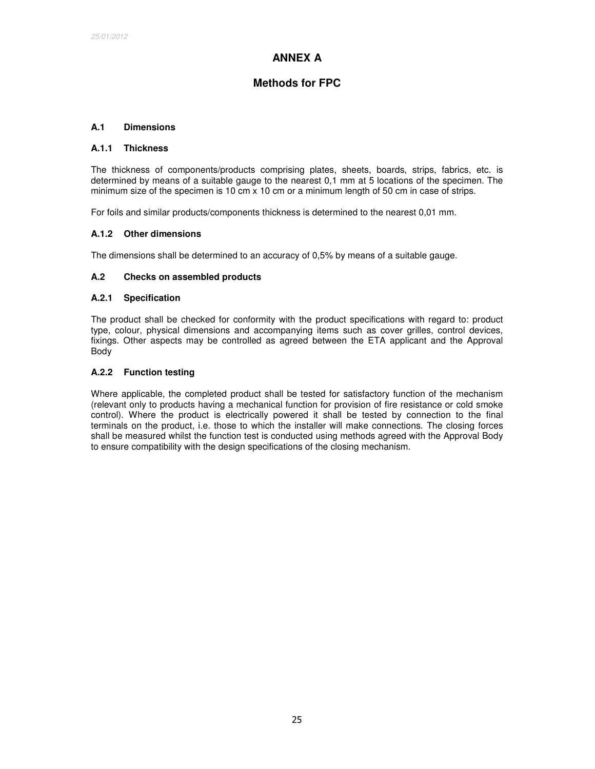# **ANNEX A**

# **Methods for FPC**

# **A.1 Dimensions**

#### **A.1.1 Thickness**

The thickness of components/products comprising plates, sheets, boards, strips, fabrics, etc. is determined by means of a suitable gauge to the nearest 0,1 mm at 5 locations of the specimen. The minimum size of the specimen is 10 cm  $x$  10 cm or a minimum length of 50 cm in case of strips.

For foils and similar products/components thickness is determined to the nearest 0,01 mm.

### **A.1.2 Other dimensions**

The dimensions shall be determined to an accuracy of 0,5% by means of a suitable gauge.

## **A.2 Checks on assembled products**

### **A.2.1 Specification**

The product shall be checked for conformity with the product specifications with regard to: product type, colour, physical dimensions and accompanying items such as cover grilles, control devices, fixings. Other aspects may be controlled as agreed between the ETA applicant and the Approval Body

### **A.2.2 Function testing**

Where applicable, the completed product shall be tested for satisfactory function of the mechanism (relevant only to products having a mechanical function for provision of fire resistance or cold smoke control). Where the product is electrically powered it shall be tested by connection to the final terminals on the product, i.e. those to which the installer will make connections. The closing forces shall be measured whilst the function test is conducted using methods agreed with the Approval Body to ensure compatibility with the design specifications of the closing mechanism.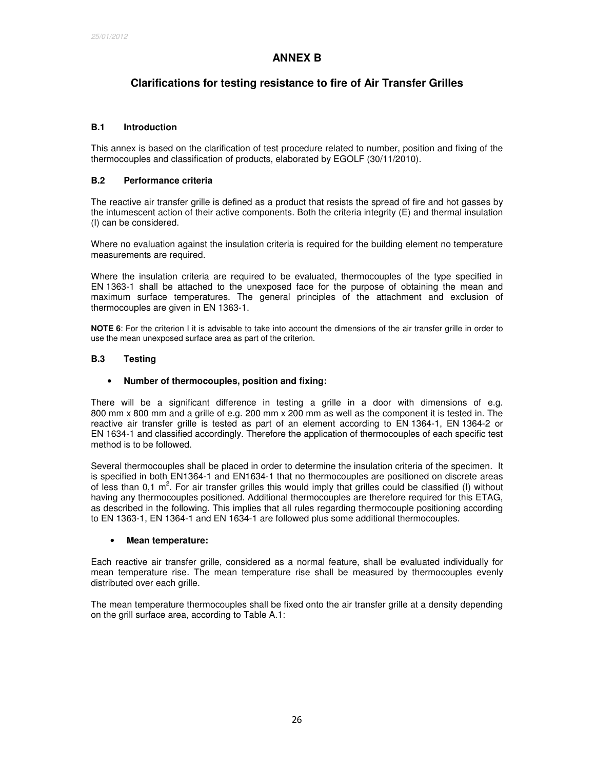# **ANNEX B**

# **Clarifications for testing resistance to fire of Air Transfer Grilles**

# **B.1 Introduction**

This annex is based on the clarification of test procedure related to number, position and fixing of the thermocouples and classification of products, elaborated by EGOLF (30/11/2010).

# **B.2 Performance criteria**

The reactive air transfer grille is defined as a product that resists the spread of fire and hot gasses by the intumescent action of their active components. Both the criteria integrity (E) and thermal insulation (I) can be considered.

Where no evaluation against the insulation criteria is required for the building element no temperature measurements are required.

Where the insulation criteria are required to be evaluated, thermocouples of the type specified in EN 1363-1 shall be attached to the unexposed face for the purpose of obtaining the mean and maximum surface temperatures. The general principles of the attachment and exclusion of thermocouples are given in EN 1363-1.

**NOTE 6**: For the criterion I it is advisable to take into account the dimensions of the air transfer grille in order to use the mean unexposed surface area as part of the criterion.

# **B.3 Testing**

### • **Number of thermocouples, position and fixing:**

There will be a significant difference in testing a grille in a door with dimensions of e.g. 800 mm x 800 mm and a grille of e.g. 200 mm x 200 mm as well as the component it is tested in. The reactive air transfer grille is tested as part of an element according to EN 1364-1, EN 1364-2 or EN 1634-1 and classified accordingly. Therefore the application of thermocouples of each specific test method is to be followed.

Several thermocouples shall be placed in order to determine the insulation criteria of the specimen. It is specified in both EN1364-1 and EN1634-1 that no thermocouples are positioned on discrete areas of less than 0,1  $m^2$ . For air transfer grilles this would imply that grilles could be classified (I) without having any thermocouples positioned. Additional thermocouples are therefore required for this ETAG, as described in the following. This implies that all rules regarding thermocouple positioning according to EN 1363-1, EN 1364-1 and EN 1634-1 are followed plus some additional thermocouples.

### • **Mean temperature:**

Each reactive air transfer grille, considered as a normal feature, shall be evaluated individually for mean temperature rise. The mean temperature rise shall be measured by thermocouples evenly distributed over each grille.

The mean temperature thermocouples shall be fixed onto the air transfer grille at a density depending on the grill surface area, according to Table A.1: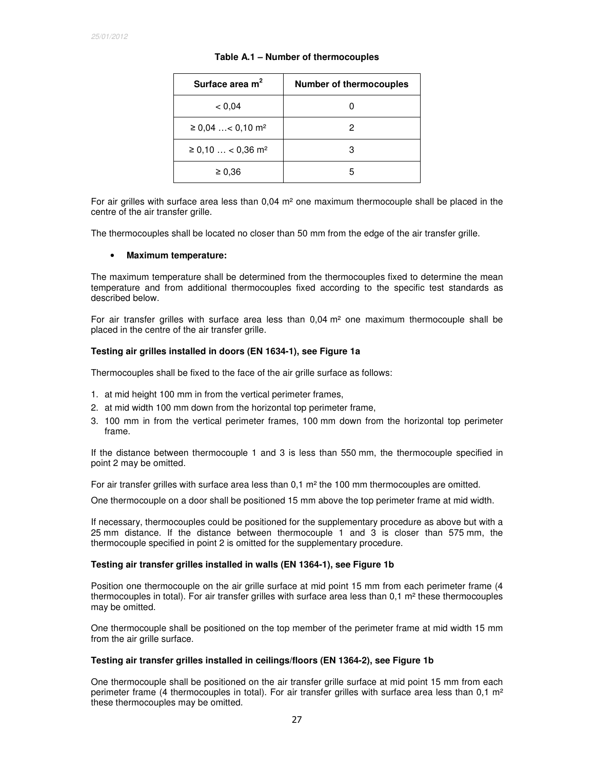| Surface area $m2$                  | <b>Number of thermocouples</b> |
|------------------------------------|--------------------------------|
| < 0.04                             |                                |
| $\geq$ 0,04  < 0,10 m <sup>2</sup> | 2                              |
| $≥ 0,10$ < 0,36 m <sup>2</sup>     |                                |
| $\geq 0.36$                        | 5                              |

#### **Table A.1 – Number of thermocouples**

For air grilles with surface area less than 0,04 m² one maximum thermocouple shall be placed in the centre of the air transfer grille.

The thermocouples shall be located no closer than 50 mm from the edge of the air transfer grille.

#### • **Maximum temperature:**

The maximum temperature shall be determined from the thermocouples fixed to determine the mean temperature and from additional thermocouples fixed according to the specific test standards as described below.

For air transfer grilles with surface area less than  $0.04 \text{ m}^2$  one maximum thermocouple shall be placed in the centre of the air transfer grille.

#### **Testing air grilles installed in doors (EN 1634-1), see Figure 1a**

Thermocouples shall be fixed to the face of the air grille surface as follows:

- 1. at mid height 100 mm in from the vertical perimeter frames,
- 2. at mid width 100 mm down from the horizontal top perimeter frame,
- 3. 100 mm in from the vertical perimeter frames, 100 mm down from the horizontal top perimeter frame.

If the distance between thermocouple 1 and 3 is less than 550 mm, the thermocouple specified in point 2 may be omitted.

For air transfer grilles with surface area less than  $0.1 \text{ m}^2$  the 100 mm thermocouples are omitted.

One thermocouple on a door shall be positioned 15 mm above the top perimeter frame at mid width.

If necessary, thermocouples could be positioned for the supplementary procedure as above but with a 25 mm distance. If the distance between thermocouple 1 and 3 is closer than 575 mm, the thermocouple specified in point 2 is omitted for the supplementary procedure.

#### **Testing air transfer grilles installed in walls (EN 1364-1), see Figure 1b**

Position one thermocouple on the air grille surface at mid point 15 mm from each perimeter frame (4 thermocouples in total). For air transfer grilles with surface area less than  $0.1 \text{ m}^2$  these thermocouples may be omitted.

One thermocouple shall be positioned on the top member of the perimeter frame at mid width 15 mm from the air grille surface.

#### **Testing air transfer grilles installed in ceilings/floors (EN 1364-2), see Figure 1b**

One thermocouple shall be positioned on the air transfer grille surface at mid point 15 mm from each perimeter frame (4 thermocouples in total). For air transfer grilles with surface area less than  $0.1 \text{ m}^2$ these thermocouples may be omitted.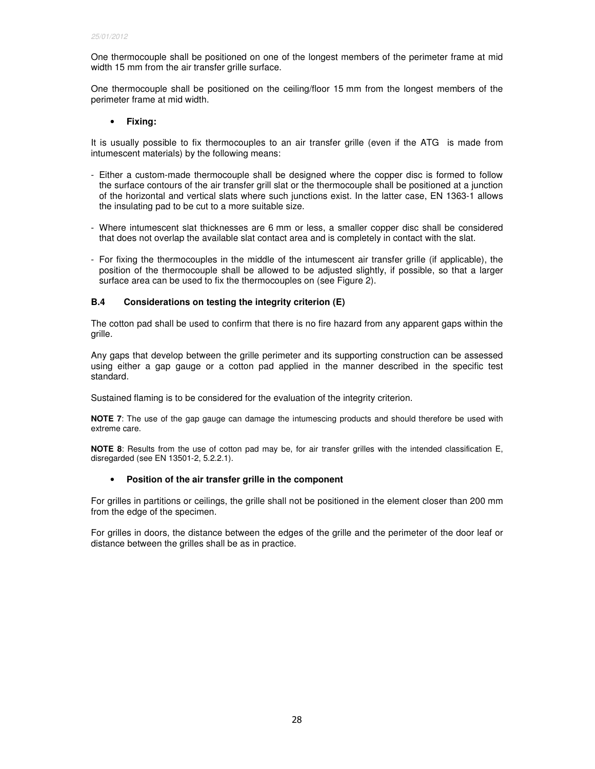One thermocouple shall be positioned on one of the longest members of the perimeter frame at mid width 15 mm from the air transfer grille surface.

One thermocouple shall be positioned on the ceiling/floor 15 mm from the longest members of the perimeter frame at mid width.

## • **Fixing:**

It is usually possible to fix thermocouples to an air transfer grille (even if the ATG is made from intumescent materials) by the following means:

- Either a custom-made thermocouple shall be designed where the copper disc is formed to follow the surface contours of the air transfer grill slat or the thermocouple shall be positioned at a junction of the horizontal and vertical slats where such junctions exist. In the latter case, EN 1363-1 allows the insulating pad to be cut to a more suitable size.
- Where intumescent slat thicknesses are 6 mm or less, a smaller copper disc shall be considered that does not overlap the available slat contact area and is completely in contact with the slat.
- For fixing the thermocouples in the middle of the intumescent air transfer grille (if applicable), the position of the thermocouple shall be allowed to be adjusted slightly, if possible, so that a larger surface area can be used to fix the thermocouples on (see Figure 2).

# **B.4 Considerations on testing the integrity criterion (E)**

The cotton pad shall be used to confirm that there is no fire hazard from any apparent gaps within the grille.

Any gaps that develop between the grille perimeter and its supporting construction can be assessed using either a gap gauge or a cotton pad applied in the manner described in the specific test standard.

Sustained flaming is to be considered for the evaluation of the integrity criterion.

**NOTE 7**: The use of the gap gauge can damage the intumescing products and should therefore be used with extreme care.

**NOTE 8**: Results from the use of cotton pad may be, for air transfer grilles with the intended classification E, disregarded (see EN 13501-2, 5.2.2.1).

### • **Position of the air transfer grille in the component**

For grilles in partitions or ceilings, the grille shall not be positioned in the element closer than 200 mm from the edge of the specimen.

For grilles in doors, the distance between the edges of the grille and the perimeter of the door leaf or distance between the grilles shall be as in practice.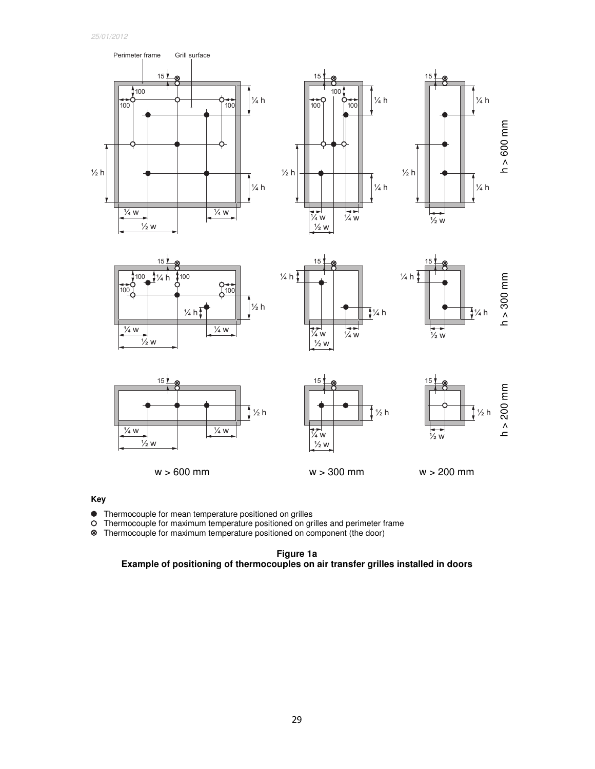25/01/2012















w > 600 mm w > 300 mm w > 200 mm

# **Key**

• Thermocouple for mean temperature positioned on grilles<br>O Thermocouple for maximum temperature positioned on gri  $\bullet$ 

O Thermocouple for maximum temperature positioned on grilles and perimeter frame<br> **S** Thermocouple for maximum temperature positioned on component (the door)

Thermocouple for maximum temperature positioned on component (the door)

**Figure 1a Example of positioning of thermocouples on air transfer grilles installed in doors**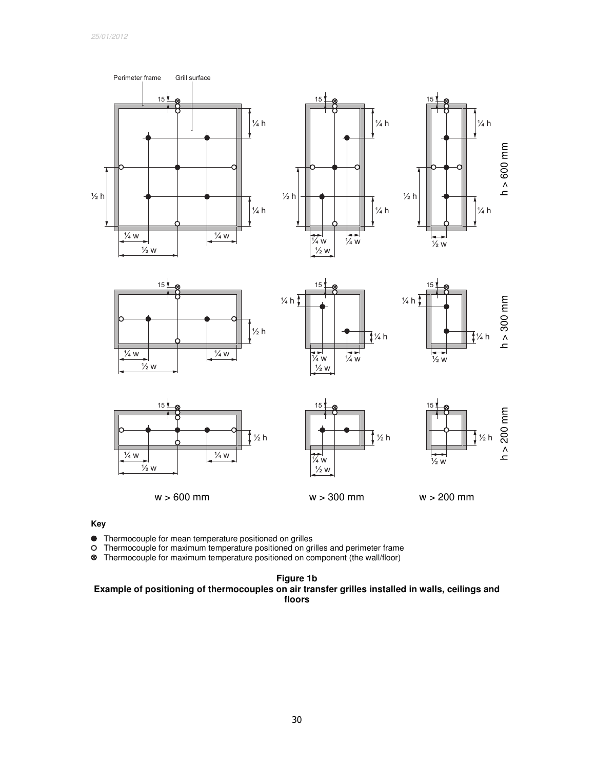

# **Key**

• Thermocouple for mean temperature positioned on grilles<br>O Thermocouple for maximum temperature positioned on gri

O Thermocouple for maximum temperature positioned on grilles and perimeter frame<br> **<sup>⊗</sup>** Thermocouple for maximum temperature positioned on component (the wall/floor)

Thermocouple for maximum temperature positioned on component (the wall/floor)

**Figure 1b Example of positioning of thermocouples on air transfer grilles installed in walls, ceilings and floors**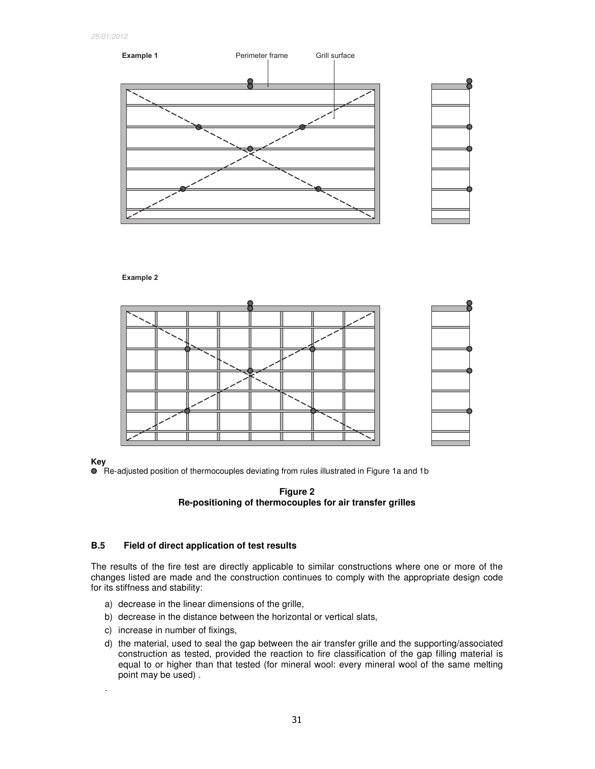

**Example 2**

**Key** 

.

Re-adjusted position of thermocouples deviating from rules illustrated in Figure 1a and 1b



# **B.5 Field of direct application of test results**

The results of the fire test are directly applicable to similar constructions where one or more of the changes listed are made and the construction continues to comply with the appropriate design code for its stiffness and stability:

- a) decrease in the linear dimensions of the grille,
- b) decrease in the distance between the horizontal or vertical slats,
- c) increase in number of fixings,
- d) the material, used to seal the gap between the air transfer grille and the supporting/associated construction as tested, provided the reaction to fire classification of the gap filling material is equal to or higher than that tested (for mineral wool: every mineral wool of the same melting point may be used) .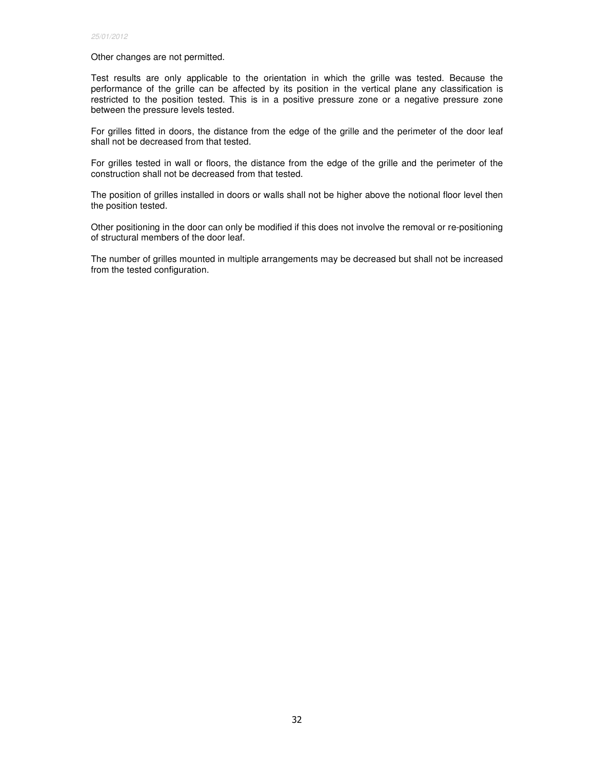Other changes are not permitted.

Test results are only applicable to the orientation in which the grille was tested. Because the performance of the grille can be affected by its position in the vertical plane any classification is restricted to the position tested. This is in a positive pressure zone or a negative pressure zone between the pressure levels tested.

For grilles fitted in doors, the distance from the edge of the grille and the perimeter of the door leaf shall not be decreased from that tested.

For grilles tested in wall or floors, the distance from the edge of the grille and the perimeter of the construction shall not be decreased from that tested.

The position of grilles installed in doors or walls shall not be higher above the notional floor level then the position tested.

Other positioning in the door can only be modified if this does not involve the removal or re-positioning of structural members of the door leaf.

The number of grilles mounted in multiple arrangements may be decreased but shall not be increased from the tested configuration.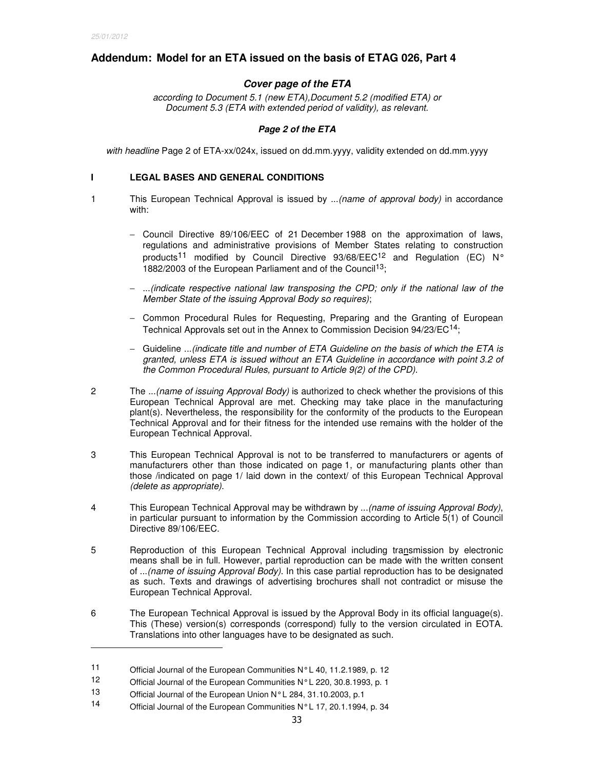-

# **Addendum: Model for an ETA issued on the basis of ETAG 026, Part 4**

# **Cover page of the ETA**

according to Document 5.1 (new ETA),Document 5.2 (modified ETA) or Document 5.3 (ETA with extended period of validity), as relevant.

### **Page 2 of the ETA**

with headline Page 2 of ETA-xx/024x, issued on dd.mm.yyyy, validity extended on dd.mm.yyyy

### **I LEGAL BASES AND GENERAL CONDITIONS**

- 1 This European Technical Approval is issued by ...(name of approval body) in accordance with:
	- − Council Directive 89/106/EEC of 21 December 1988 on the approximation of laws, regulations and administrative provisions of Member States relating to construction products<sup>11</sup> modified by Council Directive 93/68/EEC<sup>12</sup> and Regulation (EC) N° 1882/2003 of the European Parliament and of the Council<sup>13</sup>;
	- − ...(indicate respective national law transposing the CPD; only if the national law of the Member State of the issuing Approval Body so requires);
	- − Common Procedural Rules for Requesting, Preparing and the Granting of European Technical Approvals set out in the Annex to Commission Decision 94/23/EC<sup>14</sup>;
	- − Guideline ...(indicate title and number of ETA Guideline on the basis of which the ETA is granted, unless ETA is issued without an ETA Guideline in accordance with point 3.2 of the Common Procedural Rules, pursuant to Article 9(2) of the CPD).
- 2 The ...(name of issuing Approval Body) is authorized to check whether the provisions of this European Technical Approval are met. Checking may take place in the manufacturing plant(s). Nevertheless, the responsibility for the conformity of the products to the European Technical Approval and for their fitness for the intended use remains with the holder of the European Technical Approval.
- 3 This European Technical Approval is not to be transferred to manufacturers or agents of manufacturers other than those indicated on page 1, or manufacturing plants other than those /indicated on page 1/ laid down in the context/ of this European Technical Approval (delete as appropriate).
- 4 This European Technical Approval may be withdrawn by ...(name of issuing Approval Body), in particular pursuant to information by the Commission according to Article 5(1) of Council Directive 89/106/EEC.
- 5 Reproduction of this European Technical Approval including transmission by electronic means shall be in full. However, partial reproduction can be made with the written consent of ...(name of issuing Approval Body). In this case partial reproduction has to be designated as such. Texts and drawings of advertising brochures shall not contradict or misuse the European Technical Approval.
- 6 The European Technical Approval is issued by the Approval Body in its official language(s). This (These) version(s) corresponds (correspond) fully to the version circulated in EOTA. Translations into other languages have to be designated as such.

<sup>11</sup> Official Journal of the European Communities N° L 40, 11.2.1989, p. 12

<sup>12</sup> Official Journal of the European Communities N°L 220, 30.8.1993, p. 1

<sup>13</sup> Official Journal of the European Union N° L 284, 31.10.2003, p.1<br>14 Official Journal of the European Communities N° L 17, 20.1, 1994

Official Journal of the European Communities N° L 17, 20.1.1994, p. 34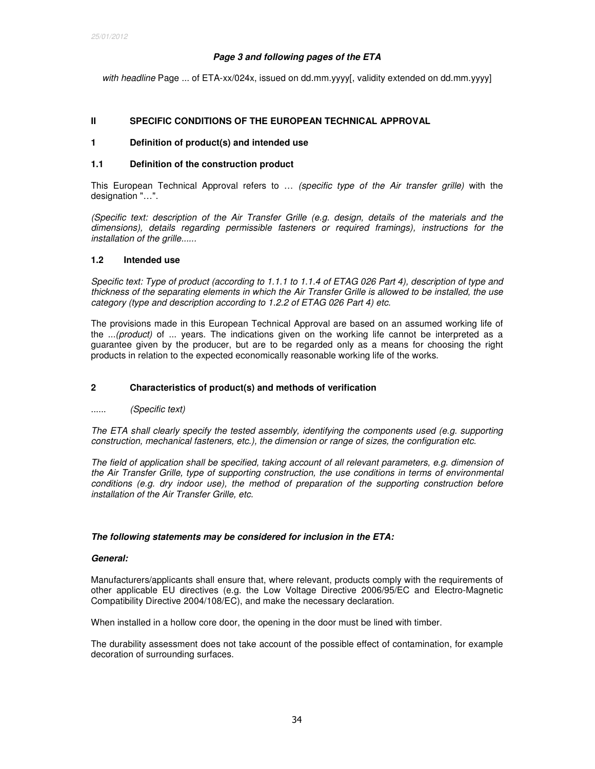# **Page 3 and following pages of the ETA**

with headline Page ... of ETA-xx/024x, issued on dd.mm.yyyy[, validity extended on dd.mm.yyyy]

### **II SPECIFIC CONDITIONS OF THE EUROPEAN TECHNICAL APPROVAL**

## **1 Definition of product(s) and intended use**

#### **1.1 Definition of the construction product**

This European Technical Approval refers to ... (specific type of the Air transfer grille) with the designation "…".

(Specific text: description of the Air Transfer Grille (e.g. design, details of the materials and the dimensions), details regarding permissible fasteners or required framings), instructions for the installation of the grille......

### **1.2 Intended use**

Specific text: Type of product (according to 1.1.1 to 1.1.4 of ETAG 026 Part 4), description of type and thickness of the separating elements in which the Air Transfer Grille is allowed to be installed, the use category (type and description according to 1.2.2 of ETAG 026 Part 4) etc.

The provisions made in this European Technical Approval are based on an assumed working life of the ...(product) of ... years. The indications given on the working life cannot be interpreted as a guarantee given by the producer, but are to be regarded only as a means for choosing the right products in relation to the expected economically reasonable working life of the works.

### **2 Characteristics of product(s) and methods of verification**

...... *(Specific text)* 

The ETA shall clearly specify the tested assembly, identifying the components used (e.g. supporting construction, mechanical fasteners, etc.), the dimension or range of sizes, the configuration etc.

The field of application shall be specified, taking account of all relevant parameters, e.g. dimension of the Air Transfer Grille, type of supporting construction, the use conditions in terms of environmental conditions (e.g. dry indoor use), the method of preparation of the supporting construction before installation of the Air Transfer Grille, etc.

### **The following statements may be considered for inclusion in the ETA:**

#### **General:**

Manufacturers/applicants shall ensure that, where relevant, products comply with the requirements of other applicable EU directives (e.g. the Low Voltage Directive 2006/95/EC and Electro-Magnetic Compatibility Directive 2004/108/EC), and make the necessary declaration.

When installed in a hollow core door, the opening in the door must be lined with timber.

The durability assessment does not take account of the possible effect of contamination, for example decoration of surrounding surfaces.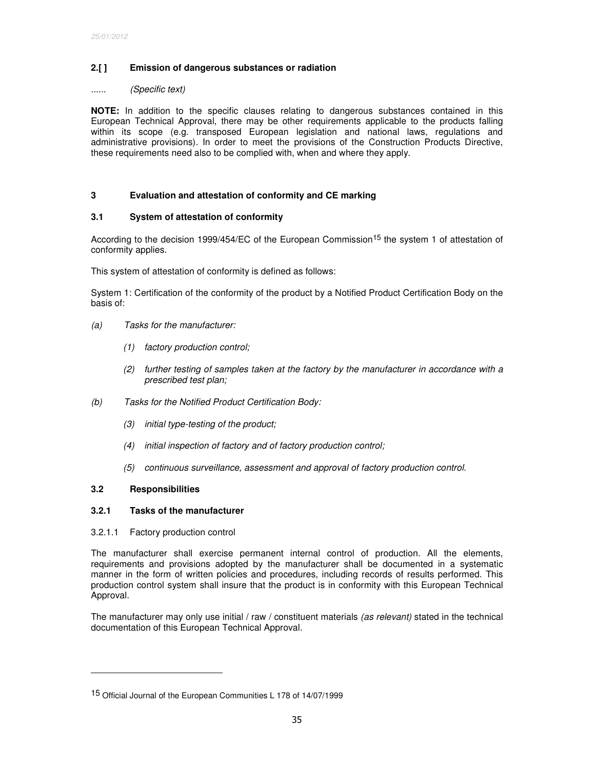# **2.[ ] Emission of dangerous substances or radiation**

#### ...... (Specific text)

**NOTE:** In addition to the specific clauses relating to dangerous substances contained in this European Technical Approval, there may be other requirements applicable to the products falling within its scope (e.g. transposed European legislation and national laws, regulations and administrative provisions). In order to meet the provisions of the Construction Products Directive, these requirements need also to be complied with, when and where they apply.

# **3 Evaluation and attestation of conformity and CE marking**

### **3.1 System of attestation of conformity**

According to the decision 1999/454/EC of the European Commission<sup>15</sup> the system 1 of attestation of conformity applies.

This system of attestation of conformity is defined as follows:

System 1: Certification of the conformity of the product by a Notified Product Certification Body on the basis of:

- (a) Tasks for the manufacturer:
	- (1) factory production control;
	- (2) further testing of samples taken at the factory by the manufacturer in accordance with a prescribed test plan;
- (b) Tasks for the Notified Product Certification Body:
	- (3) initial type-testing of the product;
	- (4) initial inspection of factory and of factory production control;
	- (5) continuous surveillance, assessment and approval of factory production control.

# **3.2 Responsibilities**

-

### **3.2.1 Tasks of the manufacturer**

### 3.2.1.1 Factory production control

The manufacturer shall exercise permanent internal control of production. All the elements, requirements and provisions adopted by the manufacturer shall be documented in a systematic manner in the form of written policies and procedures, including records of results performed. This production control system shall insure that the product is in conformity with this European Technical Approval.

The manufacturer may only use initial / raw / constituent materials (as relevant) stated in the technical documentation of this European Technical Approval.

<sup>15</sup> Official Journal of the European Communities L 178 of 14/07/1999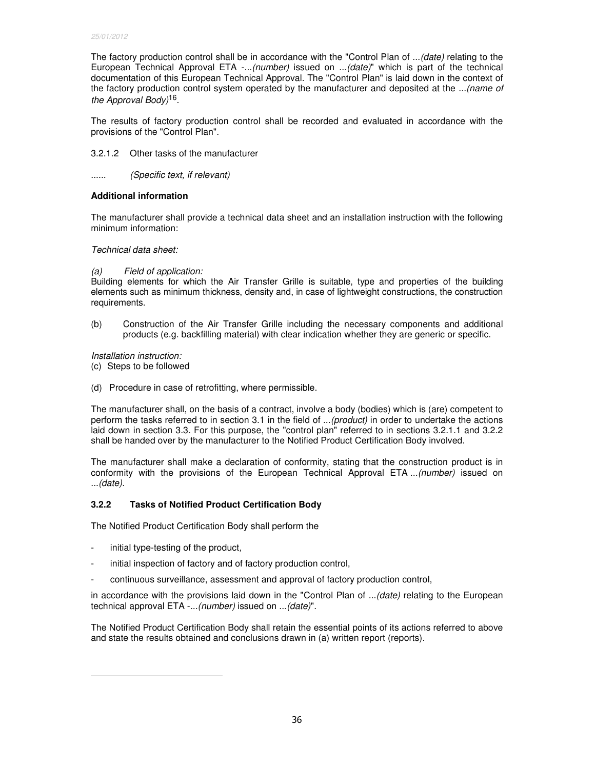The factory production control shall be in accordance with the "Control Plan of ...(date) relating to the European Technical Approval ETA -...(number) issued on ...(date)" which is part of the technical documentation of this European Technical Approval. The "Control Plan" is laid down in the context of the factory production control system operated by the manufacturer and deposited at the ...(name of the Approval Body<sup>16</sup>.

The results of factory production control shall be recorded and evaluated in accordance with the provisions of the "Control Plan".

3.2.1.2 Other tasks of the manufacturer

...... (Specific text, if relevant)

# **Additional information**

The manufacturer shall provide a technical data sheet and an installation instruction with the following minimum information:

# Technical data sheet:

# (a) Field of application:

Building elements for which the Air Transfer Grille is suitable, type and properties of the building elements such as minimum thickness, density and, in case of lightweight constructions, the construction requirements.

(b) Construction of the Air Transfer Grille including the necessary components and additional products (e.g. backfilling material) with clear indication whether they are generic or specific.

Installation instruction:

- (c) Steps to be followed
- (d) Procedure in case of retrofitting, where permissible.

The manufacturer shall, on the basis of a contract, involve a body (bodies) which is (are) competent to perform the tasks referred to in section 3.1 in the field of ...(product) in order to undertake the actions laid down in section 3.3. For this purpose, the "control plan" referred to in sections 3.2.1.1 and 3.2.2 shall be handed over by the manufacturer to the Notified Product Certification Body involved.

The manufacturer shall make a declaration of conformity, stating that the construction product is in conformity with the provisions of the European Technical Approval ETA ...(number) issued on ...(date).

# **3.2.2 Tasks of Notified Product Certification Body**

The Notified Product Certification Body shall perform the

- initial type-testing of the product,

-

- initial inspection of factory and of factory production control,
- continuous surveillance, assessment and approval of factory production control,

in accordance with the provisions laid down in the "Control Plan of ...(date) relating to the European technical approval ETA -...(number) issued on ...(date)".

The Notified Product Certification Body shall retain the essential points of its actions referred to above and state the results obtained and conclusions drawn in (a) written report (reports).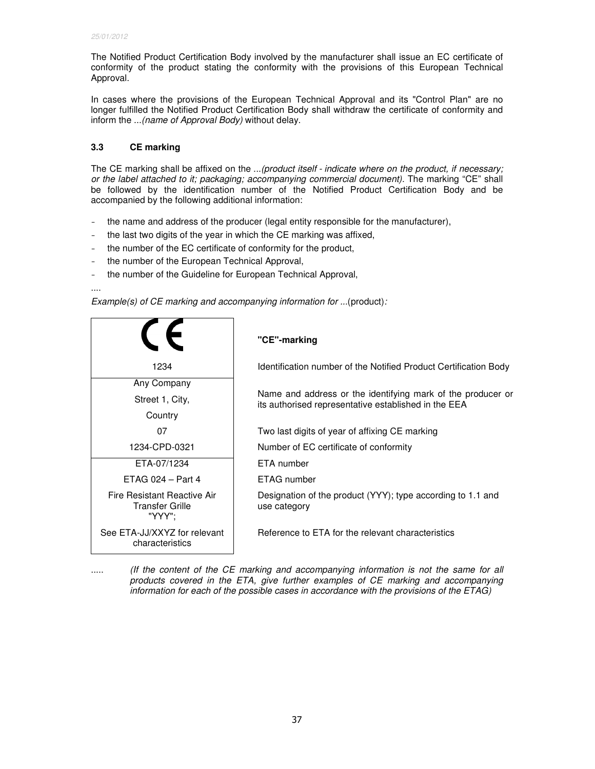The Notified Product Certification Body involved by the manufacturer shall issue an EC certificate of conformity of the product stating the conformity with the provisions of this European Technical Approval.

In cases where the provisions of the European Technical Approval and its "Control Plan" are no longer fulfilled the Notified Product Certification Body shall withdraw the certificate of conformity and inform the ...(name of Approval Body) without delay.

# **3.3 CE marking**

The CE marking shall be affixed on the ...(product itself - indicate where on the product, if necessary; or the label attached to it; packaging; accompanying commercial document). The marking "CE" shall be followed by the identification number of the Notified Product Certification Body and be accompanied by the following additional information:

- the name and address of the producer (legal entity responsible for the manufacturer),
- the last two digits of the year in which the CE marking was affixed,
- the number of the EC certificate of conformity for the product,
- the number of the European Technical Approval,
- the number of the Guideline for European Technical Approval,

....

Example(s) of CE marking and accompanying information for ...(product):

|                                                          | "CE"-marking                                                                                                        |
|----------------------------------------------------------|---------------------------------------------------------------------------------------------------------------------|
| 1234                                                     | Identification number of the Notified Product Certification Body                                                    |
| Any Company<br>Street 1, City,<br>Country                | Name and address or the identifying mark of the producer or<br>its authorised representative established in the EEA |
| 07                                                       | Two last digits of year of affixing CE marking                                                                      |
| 1234-CPD-0321                                            | Number of EC certificate of conformity                                                                              |
| ETA-07/1234                                              | <b>ETA</b> number                                                                                                   |
| $ETAG 024 - Part 4$                                      | ETAG number                                                                                                         |
| Fire Resistant Reactive Air<br>Transfer Grille<br>"YYY": | Designation of the product (YYY); type according to 1.1 and<br>use category                                         |
| See ETA-JJ/XXYZ for relevant<br>characteristics          | Reference to ETA for the relevant characteristics                                                                   |

..... (If the content of the CE marking and accompanying information is not the same for all products covered in the ETA, give further examples of CE marking and accompanying information for each of the possible cases in accordance with the provisions of the ETAG)